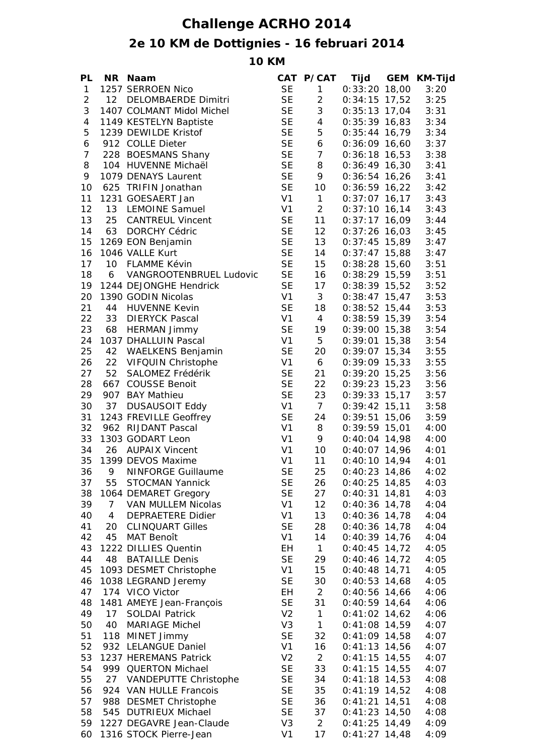## **Challenge ACRHO 2014**

## **2e 10 KM de Dottignies - 16 februari 2014**

**10 KM**

| PL             | NR I           | <b>Naam</b>                                    |                             | CAT P/CAT      | Tijd                               | GEM KM-Tijd  |
|----------------|----------------|------------------------------------------------|-----------------------------|----------------|------------------------------------|--------------|
| $\mathbf{1}$   |                | 1257 SERROEN Nico                              | <b>SE</b>                   | $1 -$          | $0:33:20$ 18,00                    | 3:20         |
| $\overline{c}$ |                | 12 DELOMBAERDE Dimitri                         | <b>SE</b>                   | $\overline{2}$ | $0:34:15$ 17,52                    | 3:25         |
| 3              |                | 1407 COLMANT Midol Michel                      | <b>SE</b>                   | 3              | $0:35:13$ 17,04                    | 3:31         |
| $\overline{4}$ |                | 1149 KESTELYN Baptiste                         | <b>SE</b>                   | $\overline{4}$ | $0:35:39$ 16,83                    | 3:34         |
| 5              |                | 1239 DEWILDE Kristof                           | <b>SE</b>                   | 5              | $0:35:44$ 16,79                    | 3:34         |
| 6              |                | 912 COLLE Dieter                               | <b>SE</b>                   | 6              | $0:36:09$ 16,60                    | 3:37         |
| $\overline{7}$ |                | 228 BOESMANS Shany                             | <b>SE</b>                   | $\overline{7}$ | $0:36:18$ 16,53                    | 3:38         |
| 8              |                | 104 HUVENNE Michaël                            | <b>SE</b>                   | 8              | $0:36:49$ 16,30                    | 3:41         |
| 9              |                | 1079 DENAYS Laurent                            | <b>SE</b>                   | 9              | $0:36:54$ 16,26                    | 3:41         |
| 10             |                | 625 TRIFIN Jonathan                            | <b>SE</b>                   | 10             | $0:36:59$ 16,22                    | 3:42         |
| 11             |                | 1231 GOESAERT Jan                              | V <sub>1</sub>              | $\mathbf{1}$   | $0:37:07$ 16,17                    | 3:43         |
| 12             | 13             | <b>LEMOINE Samuel</b>                          | V1                          | $\overline{2}$ | $0:37:10$ 16,14                    | 3:43         |
| 13             | 25             | <b>CANTREUL Vincent</b>                        | <b>SE</b>                   | 11             | $0:37:17$ 16,09                    | 3:44         |
| 14             | 63             | <b>DORCHY Cédric</b>                           | <b>SE</b>                   | 12             | $0:37:26$ 16,03                    | 3:45         |
| 15             |                | 1269 EON Benjamin                              | <b>SE</b>                   | 13             | $0:37:45$ 15,89                    | 3:47         |
| 16             |                | 1046 VALLE Kurt                                | <b>SE</b>                   | 14             | $0:37:47$ 15,88                    | 3:47         |
| 17             | 10             | FLAMME Kévin                                   | <b>SE</b>                   | 15             | $0:38:28$ 15,60                    | 3:51         |
| 18             | 6              | VANGROOTENBRUEL Ludovic                        | <b>SE</b>                   | 16             | $0:38:29$ 15,59                    | 3:51         |
| 19             |                | 1244 DEJONGHE Hendrick                         | <b>SE</b>                   | 17             | $0:38:39$ 15,52                    | 3:52         |
| 20             |                | 1390 GODIN Nicolas                             | V <sub>1</sub>              | 3              | $0:38:47$ 15,47                    | 3:53         |
| 21             |                | 44 HUVENNE Kevin                               | <b>SE</b>                   | 18             | $0:38:52$ 15,44                    | 3:53         |
| 22             |                | 33 DIERYCK Pascal                              | V <sub>1</sub>              | $\overline{4}$ | $0:38:59$ 15,39                    | 3:54         |
| 23             |                | 68 HERMAN Jimmy                                | <b>SE</b>                   | 19             | $0:39:00$ 15,38                    | 3:54         |
| 24             |                | 1037 DHALLUIN Pascal                           | V <sub>1</sub>              | 5              | $0:39:01$ 15,38                    | 3:54         |
| 25             |                | 42 WAELKENS Benjamin                           | <b>SE</b>                   | 20             | $0:39:07$ 15,34                    | 3:55         |
| 26             | 22             | VIFQUIN Christophe                             | V <sub>1</sub>              | 6              | $0:39:09$ 15,33                    | 3:55         |
| 27             | 52             | SALOMEZ Frédérik                               | <b>SE</b>                   | 21             | $0:39:20$ 15,25                    | 3:56         |
| 28             |                | 667 COUSSE Benoit                              | <b>SE</b>                   | 22             | $0:39:23$ 15,23                    | 3:56         |
| 29             |                |                                                | <b>SE</b>                   | 23             | $0:39:33$ 15,17                    |              |
| 30             | 37             | 907 BAY Mathieu                                | V1                          | $\overline{7}$ |                                    | 3:57<br>3:58 |
| 31             |                | <b>DUSAUSOIT Eddy</b>                          | <b>SE</b>                   | 24             | $0:39:42$ 15,11                    |              |
| 32             |                | 1243 FREVILLE Geoffrey                         | V <sub>1</sub>              | 8              | $0:39:51$ 15,06<br>$0:39:59$ 15,01 | 3:59<br>4:00 |
|                |                | 962 RIJDANT Pascal<br>1303 GODART Leon         | V <sub>1</sub>              |                |                                    |              |
| 33             |                |                                                |                             | 9              | $0:40:04$ 14,98                    | 4:00         |
| 34             |                | 26 AUPAIX Vincent                              | V <sub>1</sub>              | 10             | $0:40:07$ 14,96                    | 4:01         |
| 35<br>36       |                | 1399 DEVOS Maxime<br><b>NINFORGE Guillaume</b> | V <sub>1</sub><br><b>SE</b> | 11<br>25       | $0:40:10$ 14,94                    | 4:01<br>4:02 |
|                | 9              |                                                |                             |                | $0:40:23$ 14,86                    |              |
| 37             | 55             | <b>STOCMAN Yannick</b>                         | <b>SE</b>                   | 26             | $0:40:25$ 14,85                    | 4:03         |
| 38             |                | 1064 DEMARET Gregory                           | <b>SE</b>                   | 27             | $0:40:31$ 14,81                    | 4:03         |
| 39             | $\overline{7}$ | VAN MULLEM Nicolas                             | V <sub>1</sub>              | 12             | $0:40:36$ 14,78                    | 4:04         |
| 40             | $\overline{4}$ | <b>DEPRAETERE Didier</b>                       | V <sub>1</sub>              | 13             | $0:40:36$ 14,78                    | 4:04         |
| 41             | 20             | <b>CLINQUART Gilles</b>                        | <b>SE</b>                   | 28             | $0:40:36$ 14,78                    | 4:04         |
| 42             | 45             | <b>MAT Benoît</b>                              | V <sub>1</sub>              | 14             | $0:40:39$ 14,76                    | 4:04         |
| 43             |                | 1222 DILLIES Quentin                           | EH                          | $\mathbf{1}$   | $0:40:45$ 14,72                    | 4:05         |
| 44             | 48             | <b>BATAILLE Denis</b>                          | <b>SE</b>                   | 29             | $0:40:46$ 14,72                    | 4:05         |
| 45             |                | 1093 DESMET Christophe                         | V <sub>1</sub>              | 15             | $0:40:48$ 14,71                    | 4:05         |
| 46             |                | 1038 LEGRAND Jeremy                            | <b>SE</b>                   | 30             | $0:40:53$ 14,68                    | 4:05         |
| 47             |                | 174 VICO Victor                                | EH                          | 2              | $0:40:56$ 14,66                    | 4:06         |
| 48             |                | 1481 AMEYE Jean-François                       | <b>SE</b>                   | 31             | $0:40:59$ 14,64                    | 4:06         |
| 49             | 17             | <b>SOLDAI Patrick</b>                          | V <sub>2</sub>              | $\mathbf{1}$   | $0:41:02$ 14,62                    | 4:06         |
| 50             | 40             | <b>MARIAGE Michel</b>                          | V <sub>3</sub>              | $\mathbf{1}$   | $0:41:08$ 14,59                    | 4:07         |
| 51             |                | 118 MINET Jimmy                                | <b>SE</b>                   | 32             | $0:41:09$ 14,58                    | 4:07         |
| 52             |                | 932 LELANGUE Daniel                            | V <sub>1</sub>              | 16             | $0:41:13$ 14,56                    | 4:07         |
| 53             |                | 1237 HEREMANS Patrick                          | V <sub>2</sub>              | $\overline{2}$ | $0:41:15$ 14,55                    | 4:07         |
| 54             |                | 999 QUERTON Michael                            | <b>SE</b>                   | 33             | $0:41:15$ 14,55                    | 4:07         |
| 55             | 27             | VANDEPUTTE Christophe                          | <b>SE</b>                   | 34             | $0:41:18$ 14,53                    | 4:08         |
| 56             |                | 924 VAN HULLE Francois                         | <b>SE</b>                   | 35             | $0:41:19$ 14,52                    | 4:08         |
| 57             |                | 988 DESMET Christophe                          | <b>SE</b>                   | 36             | $0:41:21$ 14,51                    | 4:08         |
| 58             |                | 545 DUTRIEUX Michael                           | <b>SE</b>                   | 37             | $0:41:23$ 14,50                    | 4:08         |
| 59             |                | 1227 DEGAVRE Jean-Claude                       | V <sub>3</sub>              | 2              | $0:41:25$ 14,49                    | 4:09         |
| 60             |                | 1316 STOCK Pierre-Jean                         | V <sub>1</sub>              | 17             | $0:41:27$ 14,48                    | 4:09         |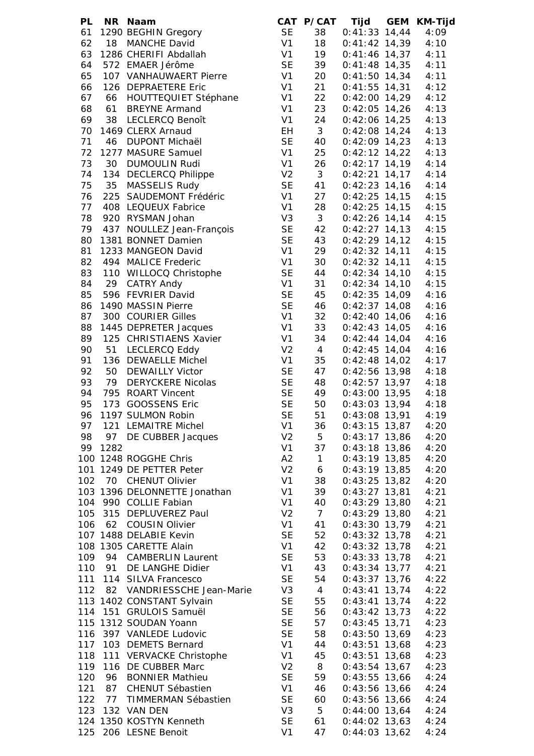| <b>PL</b> |      | NR Naam                      |                |                | CAT P/CAT Tijd GEM KM-Tijd |      |
|-----------|------|------------------------------|----------------|----------------|----------------------------|------|
| 61        |      | 1290 BEGHIN Gregory          | <b>SE</b>      | 38             | $0:41:33$ 14,44            | 4:09 |
| 62        |      | 18 MANCHE David              | V1             | 18             | $0:41:42$ 14,39            | 4:10 |
| 63        |      | 1286 CHERIFI Abdallah        | V1             | 19             | $0:41:46$ 14,37            | 4:11 |
| 64        |      | 572 EMAER Jérôme             | <b>SE</b>      | 39             | $0:41:48$ 14,35            | 4:11 |
| 65        |      | 107 VANHAUWAERT Pierre       | V1             | 20             | $0:41:50$ 14,34            | 4:11 |
| 66        |      | 126 DEPRAETERE Eric          | V <sub>1</sub> | 21             | $0:41:55$ 14,31            | 4:12 |
|           |      |                              |                |                |                            |      |
| 67        |      | 66 HOUTTEQUIET Stéphane      | V1             | 22             | $0:42:00$ 14,29            | 4:12 |
| 68        |      | 61 BREYNE Armand             | V1             | 23             | $0:42:05$ 14,26            | 4:13 |
| 69        |      | 38 LECLERCQ Benoît           | V1             | 24             | $0:42:06$ 14,25            | 4:13 |
| 70        |      | 1469 CLERX Arnaud            | EH             | 3 <sup>1</sup> | $0:42:08$ 14,24            | 4:13 |
| 71        | 46   | DUPONT Michaël               | <b>SE</b>      | 40             | $0:42:09$ 14,23            | 4:13 |
| 72        |      | 1277 MASURE Samuel           | V1             | 25             | $0:42:12$ 14,22            | 4:13 |
| 73        | 30   | <b>DUMOULIN Rudi</b>         | V1             | 26             | $0:42:17$ 14,19            | 4:14 |
| 74        |      | 134 DECLERCQ Philippe        | V <sub>2</sub> | 3 <sup>7</sup> | $0:42:21$ 14,17            | 4:14 |
| 75        | 35   | MASSELIS Rudy                | <b>SE</b>      | 41             | $0:42:23$ 14,16            | 4:14 |
| 76        |      | 225 SAUDEMONT Frédéric       | V1             | 27             | $0:42:25$ 14,15            | 4:15 |
| 77        |      |                              | V <sub>1</sub> |                |                            |      |
|           |      | 408 LEQUEUX Fabrice          |                | 28             | $0:42:25$ 14,15            | 4:15 |
| 78        |      | 920 RYSMAN Johan             | V <sub>3</sub> | 3 <sup>7</sup> | $0:42:26$ 14,14            | 4:15 |
| 79        |      | 437 NOULLEZ Jean-François    | <b>SE</b>      | 42             | $0:42:27$ 14,13            | 4:15 |
| 80        |      | 1381 BONNET Damien           | <b>SE</b>      | 43             | $0:42:29$ 14,12            | 4:15 |
| 81        |      | 1233 MANGEON David           | V <sub>1</sub> | 29             | $0:42:32$ 14,11            | 4:15 |
| 82        |      | 494 MALICE Frederic          | V <sub>1</sub> | 30             | $0:42:32$ 14,11            | 4:15 |
| 83        |      | 110 WILLOCQ Christophe       | <b>SE</b>      | 44             | $0:42:34$ 14,10            | 4:15 |
| 84        | 29   | <b>CATRY Andy</b>            | V1             | 31             | $0:42:34$ 14,10            | 4:15 |
| 85        |      | 596 FEVRIER David            | <b>SE</b>      | 45             | $0:42:35$ 14,09            | 4:16 |
| 86        |      | 1490 MASSIN Pierre           | <b>SE</b>      | 46             | $0:42:37$ 14,08            | 4:16 |
|           |      |                              |                |                |                            |      |
| 87        |      | 300 COURIER Gilles           | V1             | 32             | $0:42:40$ 14,06            | 4:16 |
| 88        |      | 1445 DEPRETER Jacques        | V1             | 33             | $0:42:43$ 14,05            | 4:16 |
| 89        |      | 125 CHRISTIAENS Xavier       | V <sub>1</sub> | 34             | $0:42:44$ 14,04            | 4:16 |
| 90        |      | 51 LECLERCQ Eddy             | V <sub>2</sub> | $\overline{4}$ | $0:42:45$ 14,04            | 4:16 |
| 91        |      | 136 DEWAELLE Michel          | V1             | 35             | $0:42:48$ 14,02            | 4:17 |
| 92        |      | 50 DEWAILLY Victor           | <b>SE</b>      | 47             | $0:42:56$ 13,98            | 4:18 |
| 93        |      | 79 DERYCKERE Nicolas         | <b>SE</b>      | 48             | $0:42:57$ 13,97            | 4:18 |
| 94        |      | 795 ROART Vincent            | <b>SE</b>      | 49             | $0:43:00$ 13,95            | 4:18 |
| 95        |      | 173 GOOSSENS Eric            | <b>SE</b>      | 50             | $0:43:03$ 13,94            | 4:18 |
| 96        |      | 1197 SULMON Robin            | <b>SE</b>      | 51             | $0:43:08$ 13,91            | 4:19 |
| 97        |      | 121 LEMAITRE Michel          | V <sub>1</sub> | 36             | $0:43:15$ 13,87            | 4:20 |
|           |      |                              |                |                |                            |      |
| 98        |      | 97 DE CUBBER Jacques         | V <sub>2</sub> | 5              | $0:43:17$ 13,86            | 4:20 |
| 99        | 1282 |                              | V <sub>1</sub> | 37             | $0:43:18$ 13,86            | 4:20 |
|           |      | 100 1248 ROGGHE Chris        | A2             | $\mathbf{1}$   | $0:43:19$ 13,85            | 4:20 |
| 101       |      | 1249 DE PETTER Peter         | V <sub>2</sub> | 6              | $0:43:19$ 13,85            | 4:20 |
| 102       |      | 70 CHENUT Olivier            | V <sub>1</sub> | 38             | $0:43:25$ 13,82            | 4:20 |
|           |      | 103 1396 DELONNETTE Jonathan | V <sub>1</sub> | 39             | $0:43:27$ 13,81            | 4:21 |
| 104       |      | 990 COLLIE Fabian            | V <sub>1</sub> | 40             | $0:43:29$ 13,80            | 4:21 |
| 105       |      | 315 DEPLUVEREZ Paul          | V <sub>2</sub> | $\overline{7}$ | $0:43:29$ 13,80            | 4:21 |
| 106       | 62   | <b>COUSIN Olivier</b>        | V <sub>1</sub> | 41             | $0:43:30$ 13,79            | 4:21 |
|           |      | 107 1488 DELABIE Kevin       | <b>SE</b>      | 52             | $0:43:32$ 13,78            | 4:21 |
|           |      | 108 1305 CARETTE Alain       | V <sub>1</sub> | 42             | $0:43:32$ 13,78            | 4:21 |
| 109       | 94   |                              | <b>SE</b>      |                |                            |      |
|           |      | <b>CAMBERLIN Laurent</b>     |                | 53             | $0:43:33$ 13,78            | 4:21 |
| 110       | 91   | DE LANGHE Didier             | V <sub>1</sub> | 43             | $0:43:34$ 13,77            | 4:21 |
| 111       |      | 114 SILVA Francesco          | <b>SE</b>      | 54             | $0:43:37$ 13,76            | 4:22 |
| 112       |      | 82 VANDRIESSCHE Jean-Marie   | V <sub>3</sub> | $\overline{4}$ | $0:43:41$ 13,74            | 4:22 |
|           |      | 113 1402 CONSTANT Sylvain    | <b>SE</b>      | 55             | $0:43:41$ 13,74            | 4:22 |
| 114       |      | 151 GRULOIS Samuël           | <b>SE</b>      | 56             | $0:43:42$ 13,73            | 4:22 |
|           |      | 115 1312 SOUDAN Yoann        | <b>SE</b>      | 57             | $0:43:45$ 13,71            | 4:23 |
| 116       |      | 397 VANLEDE Ludovic          | <b>SE</b>      | 58             | $0:43:50$ 13,69            | 4:23 |
| 117       |      | 103 DEMETS Bernard           | V <sub>1</sub> | 44             | $0:43:51$ 13,68            | 4:23 |
| 118       |      | 111 VERVACKE Christophe      | V <sub>1</sub> | 45             | $0:43:51$ 13,68            | 4:23 |
| 119       |      | 116 DE CUBBER Marc           | V <sub>2</sub> | 8              | $0:43:54$ 13,67            |      |
|           |      |                              |                |                |                            | 4:23 |
| 120       | 96   | <b>BONNIER Mathieu</b>       | <b>SE</b>      | 59             | $0:43:55$ 13,66            | 4:24 |
| 121       | 87   | CHENUT Sébastien             | V <sub>1</sub> | 46             | $0:43:56$ 13,66            | 4:24 |
| 122       |      | 77 TIMMERMAN Sébastien       | <b>SE</b>      | 60             | $0:43:56$ 13,66            | 4:24 |
| 123       |      | 132 VAN DEN                  | V <sub>3</sub> | 5              | $0:44:00$ 13,64            | 4:24 |
|           |      | 124 1350 KOSTYN Kenneth      | <b>SE</b>      | 61             | $0:44:02$ 13,63            | 4:24 |
| 125       |      | 206 LESNE Benoit             | V <sub>1</sub> | 47             | $0:44:03$ 13,62            | 4:24 |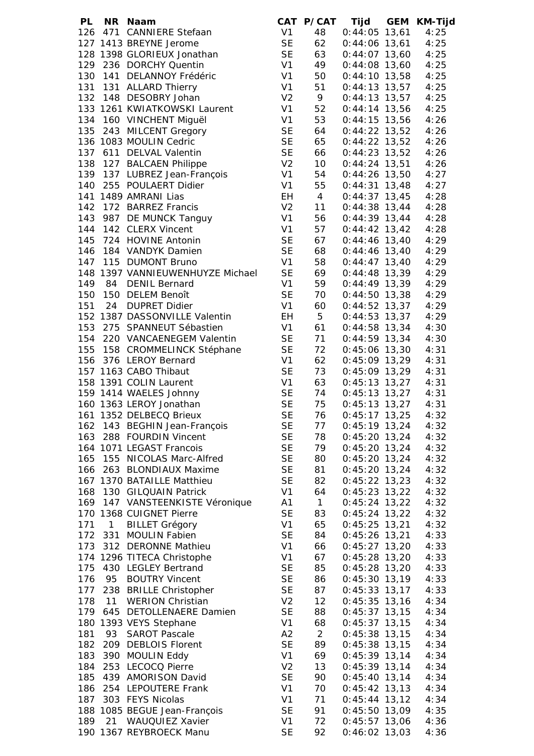| PL  |              | NR Naam                                          |                |                 | CAT P/CAT Tijd GEM KM-Tijd |      |
|-----|--------------|--------------------------------------------------|----------------|-----------------|----------------------------|------|
|     |              | 126 471 CANNIERE Stefaan                         | V1             | 48              | $0:44:05$ 13,61            | 4:25 |
|     |              | 127 1413 BREYNE Jerome                           | <b>SE</b>      | 62              | $0:44:06$ 13,61 4:25       |      |
|     |              | 128 1398 GLORIEUX Jonathan                       | <b>SE</b>      | 63              | $0:44:07$ 13,60            | 4:25 |
|     |              | 129 236 DORCHY Quentin                           | V1             | 49              | $0:44:08$ 13,60            | 4:25 |
|     |              | 130 141 DELANNOY Frédéric                        | V <sub>1</sub> | 50              | $0:44:10$ 13,58            | 4:25 |
|     |              | 131 131 ALLARD Thierry                           | V1             | 51              | $0:44:13$ 13,57            | 4:25 |
|     |              | 132 148 DESOBRY Johan                            | V <sub>2</sub> | 9               | $0:44:13$ 13,57            | 4:25 |
|     |              | 133 1261 KWIATKOWSKI Laurent                     | V <sub>1</sub> | 52              | $0:44:14$ 13,56            | 4:25 |
|     |              |                                                  |                |                 |                            |      |
|     |              | 134 160 VINCHENT Miguël                          | V <sub>1</sub> | 53              | $0:44:15$ 13,56            | 4:26 |
| 135 |              | 243 MILCENT Gregory                              | <b>SE</b>      | 64              | $0:44:22$ 13,52            | 4:26 |
|     |              | 136 1083 MOULIN Cedric                           | <b>SE</b>      | 65              | $0:44:22$ 13,52            | 4:26 |
| 137 |              | 611 DELVAL Valentin                              | <b>SE</b>      | 66              | $0:44:23$ 13,52            | 4:26 |
|     |              | 138 127 BALCAEN Philippe                         | V <sub>2</sub> | 10 <sup>1</sup> | $0:44:24$ 13,51            | 4:26 |
|     |              | 139 137 LUBREZ Jean-François                     | V <sub>1</sub> | 54              | $0:44:26$ 13,50            | 4:27 |
|     |              | 140 255 POULAERT Didier                          | V <sub>1</sub> | 55              | $0:44:31$ 13,48            | 4:27 |
|     |              | 141 1489 AMRANI Lias                             | EH             | $4\overline{ }$ | $0:44:37$ 13,45            | 4:28 |
| 142 |              | 172 BARREZ Francis                               | V <sub>2</sub> | 11              | $0:44:38$ 13,44            | 4:28 |
|     |              | 143 987 DE MUNCK Tanguy<br>144 142 CLEPY Vincent | V1             | 56              | $0:44:39$ 13,44            | 4:28 |
|     |              | 144 142 CLERX Vincent                            | V <sub>1</sub> | 57              | $0:44:42$ 13,42            | 4:28 |
|     |              | 145 724 HOVINE Antonin                           | <b>SE</b>      | 67              | 0:44:46 13,40              | 4:29 |
|     |              | 146 184 VANDYK Damien                            | <b>SE</b>      | 68              | $0:44:46$ 13,40            | 4:29 |
|     |              | 147 115 DUMONT Bruno                             | V <sub>1</sub> | 58              | $0:44:47$ 13,40            | 4:29 |
|     |              | 148 1397 VANNIEUWENHUYZE Michael                 | <b>SE</b>      | 69              | $0:44:48$ 13,39            | 4:29 |
|     |              | 149 84 DENIL Bernard                             | V <sub>1</sub> |                 |                            |      |
|     |              |                                                  |                | 59              | $0:44:49$ 13,39            | 4:29 |
|     |              | 150 150 DELEM Benoît                             | <b>SE</b>      | 70              | $0:44:50$ 13,38            | 4:29 |
| 151 |              | 24 DUPRET Didier                                 | V1             | 60              | $0:44:52$ 13,37            | 4:29 |
|     |              | 152 1387 DASSONVILLE Valentin                    | EH             | 5 <sub>5</sub>  | $0:44:53$ 13,37            | 4:29 |
|     |              | 153 275 SPANNEUT Sébastien                       | V <sub>1</sub> | 61              | $0:44:58$ 13,34            | 4:30 |
|     |              | 154 220 VANCAENEGEM Valentin                     | <b>SE</b>      | 71              | $0:44:59$ 13,34            | 4:30 |
|     |              | 155 158 CROMMELINCK Stéphane                     | <b>SE</b>      | 72              | $0:45:06$ 13,30            | 4:31 |
|     |              | 156 376 LEROY Bernard                            | V <sub>1</sub> | 62              | $0:45:09$ 13,29            | 4:31 |
|     |              | 157 1163 CABO Thibaut                            | <b>SE</b>      | 73              | $0:45:09$ 13,29 4:31       |      |
|     |              | 158 1391 COLIN Laurent                           | V <sub>1</sub> | 63              | $0:45:13$ 13,27 4:31       |      |
|     |              | 159 1414 WAELES Johnny                           | <b>SE</b>      | 74              | $0:45:13$ 13,27 4:31       |      |
|     |              | 160 1363 LEROY Jonathan                          | <b>SE</b>      | 75              | $0:45:13$ 13,27 $4:31$     |      |
|     |              | 161 1352 DELBECQ Brieux                          | <b>SE</b>      | 76              | $0:45:17$ 13,25            | 4:32 |
|     |              | 162 143 BEGHIN Jean-François                     | <b>SE</b>      | 77              | $0:45:19$ 13,24            | 4:32 |
| 163 |              | 288 FOURDIN Vincent                              | <b>SE</b>      | 78              | $0:45:20$ 13,24            | 4:32 |
|     |              | 164 1071 LEGAST Francois                         | <b>SE</b>      | 79              | $0:45:20$ 13,24            | 4:32 |
| 165 |              |                                                  | <b>SE</b>      |                 |                            |      |
|     |              | 155 NICOLAS Marc-Alfred                          |                | 80              | $0:45:20$ 13,24            | 4:32 |
| 166 |              | 263 BLONDIAUX Maxime                             | <b>SE</b>      | 81              | $0:45:20$ 13,24            | 4:32 |
|     |              | 167 1370 BATAILLE Matthieu                       | <b>SE</b>      | 82              | $0:45:22$ 13,23            | 4:32 |
| 168 |              | 130 GILQUAIN Patrick                             | V <sub>1</sub> | 64              | $0:45:23$ 13,22            | 4:32 |
| 169 |              | 147 VANSTEENKISTE Véronique                      | A1             | $\mathbf{1}$    | $0:45:24$ 13,22            | 4:32 |
|     |              | 170 1368 CUIGNET Pierre                          | <b>SE</b>      | 83              | $0:45:24$ 13,22            | 4:32 |
| 171 | $\mathbf{1}$ | <b>BILLET Grégory</b>                            | V <sub>1</sub> | 65              | $0:45:25$ 13,21            | 4:32 |
| 172 |              | 331 MOULIN Fabien                                | <b>SE</b>      | 84              | $0:45:26$ 13,21            | 4:33 |
| 173 |              | 312 DERONNE Mathieu                              | V <sub>1</sub> | 66              | $0:45:27$ 13,20            | 4:33 |
|     |              | 174 1296 TITECA Christophe                       | V <sub>1</sub> | 67              | $0:45:28$ 13,20            | 4:33 |
| 175 |              | 430 LEGLEY Bertrand                              | <b>SE</b>      | 85              | $0:45:28$ 13,20            | 4:33 |
| 176 | 95           | <b>BOUTRY Vincent</b>                            | <b>SE</b>      | 86              | $0:45:30$ 13,19            | 4:33 |
| 177 |              | 238 BRILLE Christopher                           | <b>SE</b>      | 87              | $0:45:33$ 13,17            | 4:33 |
| 178 | 11           | <b>WERION Christian</b>                          | V <sub>2</sub> | 12              | $0:45:35$ 13,16            | 4:34 |
| 179 |              | 645 DETOLLENAERE Damien                          | <b>SE</b>      | 88              | $0:45:37$ 13,15            | 4:34 |
|     |              | 180 1393 VEYS Stephane                           | V <sub>1</sub> | 68              | $0:45:37$ 13,15            | 4:34 |
| 181 | 93           | <b>SAROT Pascale</b>                             | A2             |                 |                            |      |
|     |              |                                                  |                | $\overline{2}$  | $0:45:38$ 13,15            | 4:34 |
| 182 |              | 209 DEBLOIS Florent                              | <b>SE</b>      | 89              | $0:45:38$ 13,15            | 4:34 |
| 183 |              | 390 MOULIN Eddy                                  | V <sub>1</sub> | 69              | $0:45:39$ 13,14            | 4:34 |
| 184 |              | 253 LECOCQ Pierre                                | V <sub>2</sub> | 13              | $0:45:39$ 13,14            | 4:34 |
| 185 |              | 439 AMORISON David                               | <b>SE</b>      | 90              | $0:45:40$ 13,14            | 4:34 |
|     |              | 186 254 LEPOUTERE Frank                          | V <sub>1</sub> | 70              | $0:45:42$ 13,13            | 4:34 |
| 187 |              | 303 FEYS Nicolas                                 | V <sub>1</sub> | 71              | $0:45:44$ 13,12            | 4:34 |
|     |              | 188 1085 BEGUE Jean-François                     | <b>SE</b>      | 91              | $0:45:50$ 13,09            | 4:35 |
| 189 |              | 21 WAUQUIEZ Xavier                               | V <sub>1</sub> | 72              | $0:45:57$ 13,06            | 4:36 |
|     |              | 190 1367 REYBROECK Manu                          | <b>SE</b>      | 92              | $0:46:02$ 13,03            | 4:36 |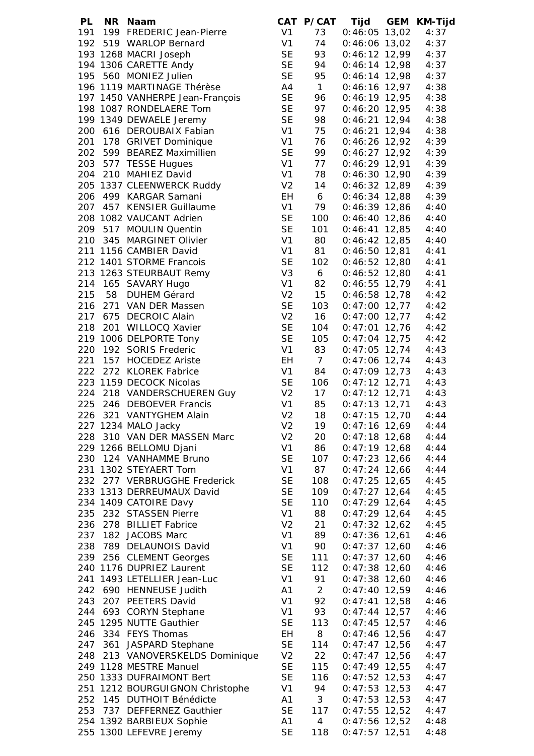| PL  |         | NR Naam                         |                | CAT P/CAT      | Tijd            | GEM KM-Tijd |
|-----|---------|---------------------------------|----------------|----------------|-----------------|-------------|
|     |         | 191 199 FREDERIC Jean-Pierre    | V1             | 73             | $0:46:05$ 13,02 | 4:37        |
|     |         | 192 519 WARLOP Bernard          | V <sub>1</sub> | 74             | $0:46:06$ 13,02 | 4:37        |
|     |         | 193 1268 MACRI Joseph           | <b>SE</b>      | 93             | $0:46:12$ 12,99 | 4:37        |
|     |         | 194 1306 CARETTE Andy           | <b>SE</b>      | 94             | $0:46:14$ 12,98 | 4:37        |
|     |         | 195 560 MONIEZ Julien           | <b>SE</b>      | 95             | $0:46:14$ 12,98 | 4:37        |
|     |         | 196 1119 MARTINAGE Thérèse      | A4             | 1              | $0:46:16$ 12,97 | 4:38        |
|     |         | 197 1450 VANHERPE Jean-François | <b>SE</b>      | 96             | $0:46:19$ 12,95 | 4:38        |
|     |         | 198 1087 RONDELAERE Tom         | <b>SE</b>      | 97             | $0:46:20$ 12,95 | 4:38        |
|     |         | 199 1349 DEWAELE Jeremy         | <b>SE</b>      |                |                 |             |
|     |         |                                 |                | 98             | $0:46:21$ 12,94 | 4:38        |
|     |         | 200 616 DEROUBAIX Fabian        | V <sub>1</sub> | 75             | $0:46:21$ 12,94 | 4:38        |
| 201 |         | 178 GRIVET Dominique            | V <sub>1</sub> | 76             | $0:46:26$ 12,92 | 4:39        |
| 202 |         | 599 BEAREZ Maximillien          | <b>SE</b>      | 99             | $0:46:27$ 12,92 | 4:39        |
| 203 |         | 577 TESSE Hugues                | V <sub>1</sub> | 77             | $0:46:29$ 12,91 | 4:39        |
| 204 |         | 210 MAHIEZ David                | V <sub>1</sub> | 78             | $0:46:30$ 12,90 | 4:39        |
|     |         | 205 1337 CLEENWERCK Ruddy       | V <sub>2</sub> | 14             | $0:46:32$ 12,89 | 4:39        |
|     |         | 206 499 KARGAR Samani           | EH             | 6              | $0:46:34$ 12,88 | 4:39        |
|     |         | 207 457 KENSIER Guillaume       | V <sub>1</sub> | 79             | $0:46:39$ 12,86 | 4:40        |
|     |         | 208 1082 VAUCANT Adrien         | <b>SE</b>      | 100            | $0:46:40$ 12,86 | 4:40        |
|     |         | 209 517 MOULIN Quentin          | <b>SE</b>      | 101            | $0:46:41$ 12,85 | 4:40        |
|     |         | 210 345 MARGINET Olivier        | V <sub>1</sub> | 80             | $0:46:42$ 12,85 | 4:40        |
|     |         | 211 1156 CAMBIER David          | V <sub>1</sub> | 81             | $0:46:50$ 12,81 | 4:41        |
|     |         | 212 1401 STORME Francois        | <b>SE</b>      | 102            | $0:46:52$ 12,80 | 4:41        |
|     |         | 213 1263 STEURBAUT Remy         | V <sub>3</sub> | 6              | $0:46:52$ 12,80 | 4:41        |
|     |         | 214 165 SAVARY Hugo             | V <sub>1</sub> | 82             | $0:46:55$ 12,79 | 4:41        |
| 215 | 58      | <b>DUHEM Gérard</b>             | V <sub>2</sub> | 15             | $0:46:58$ 12,78 | 4:42        |
|     |         | 216 271 VAN DER Massen          | <b>SE</b>      | 103            | $0:47:00$ 12,77 | 4:42        |
|     |         | 217 675 DECROIC Alain           | V <sub>2</sub> | 16             |                 |             |
|     |         |                                 |                |                | $0:47:00$ 12,77 | 4:42        |
|     |         | 218 201 WILLOCQ Xavier          | <b>SE</b>      | 104            | $0:47:01$ 12,76 | 4:42        |
|     |         | 219 1006 DELPORTE Tony          | <b>SE</b>      | 105            | $0:47:04$ 12,75 | 4:42        |
|     |         | 220 192 SORIS Frederic          | V <sub>1</sub> | 83             | $0:47:05$ 12,74 | 4:43        |
|     |         | 221 157 HOCEDEZ Ariste          | EH             | 7 <sup>7</sup> | $0:47:06$ 12,74 | 4:43        |
|     |         | 222 272 KLOREK Fabrice          | V <sub>1</sub> | 84             | $0:47:09$ 12,73 | 4:43        |
|     |         | 223 1159 DECOCK Nicolas         | <b>SE</b>      | 106            | $0:47:12$ 12,71 | 4:43        |
|     |         | 224 218 VANDERSCHUEREN Guy      | V <sub>2</sub> | 17             | $0:47:12$ 12,71 | 4:43        |
|     |         | 225 246 DEBOEVER Francis        | V <sub>1</sub> | 85             | $0:47:13$ 12,71 | 4:43        |
| 226 |         | 321 VANTYGHEM Alain             | V <sub>2</sub> | 18             | $0:47:15$ 12,70 | 4:44        |
|     |         | 227 1234 MALO Jacky             | V <sub>2</sub> | 19             | $0:47:16$ 12,69 | 4:44        |
|     |         | 228 310 VAN DER MASSEN Marc     | V <sub>2</sub> | 20             | $0:47:18$ 12,68 | 4:44        |
|     |         | 229 1266 BELLOMU Djani          | V <sub>1</sub> | 86             | $0:47:19$ 12,68 | 4:44        |
| 230 |         | 124 VANHAMME Bruno              | <b>SE</b>      | 107            | $0:47:23$ 12,66 | 4:44        |
|     |         | 231 1302 STEYAERT Tom           | V <sub>1</sub> | 87             | $0:47:24$ 12,66 | 4:44        |
| 232 |         | 277 VERBRUGGHE Frederick        | <b>SE</b>      | 108            | $0:47:25$ 12,65 | 4:45        |
|     |         | 233 1313 DERREUMAUX David       | <b>SE</b>      | 109            | $0:47:27$ 12,64 | 4:45        |
|     |         | 234 1409 CATOIRE Davy           | <b>SE</b>      | 110            | $0:47:29$ 12,64 | 4:45        |
| 235 |         | 232 STASSEN Pierre              | V <sub>1</sub> | 88             | $0:47:29$ 12,64 | 4:45        |
| 236 |         | 278 BILLIET Fabrice             | V <sub>2</sub> | 21             | $0:47:32$ 12,62 | 4:45        |
| 237 |         | 182 JACOBS Marc                 | V <sub>1</sub> | 89             | $0:47:36$ 12,61 | 4:46        |
| 238 |         | 789 DELAUNOIS David             | V <sub>1</sub> | 90             | $0:47:37$ 12,60 | 4:46        |
|     |         | 239 256 CLEMENT Georges         | <b>SE</b>      | 111            | $0:47:37$ 12,60 | 4:46        |
|     |         | 240 1176 DUPRIEZ Laurent        | <b>SE</b>      | 112            | $0:47:38$ 12,60 | 4:46        |
| 241 |         | 1493 LETELLIER Jean-Luc         | V <sub>1</sub> | 91             | $0:47:38$ 12,60 | 4:46        |
|     |         |                                 |                |                |                 |             |
|     |         | 242 690 HENNEUSE Judith         | A1             | $\overline{2}$ | $0:47:40$ 12,59 | 4:46        |
| 243 |         | 207 PEETERS David               | V <sub>1</sub> | 92             | $0:47:41$ 12,58 | 4:46        |
| 244 |         | 693 CORYN Stephane              | V <sub>1</sub> | 93             | $0:47:44$ 12,57 | 4:46        |
|     |         | 245 1295 NUTTE Gauthier         | <b>SE</b>      | 113            | $0:47:45$ 12,57 | 4:46        |
|     |         | 246 334 FEYS Thomas             | <b>EH</b>      | 8              | $0:47:46$ 12,56 | 4:47        |
|     | 247 361 | <b>JASPARD Stephane</b>         | <b>SE</b>      | 114            | $0:47:47$ 12,56 | 4:47        |
| 248 |         | 213 VANOVERSKELDS Dominique     | V <sub>2</sub> | 22             | $0:47:47$ 12,56 | 4:47        |
|     |         | 249 1128 MESTRE Manuel          | <b>SE</b>      | 115            | $0:47:49$ 12,55 | 4:47        |
|     |         | 250 1333 DUFRAIMONT Bert        | <b>SE</b>      | 116            | $0:47:52$ 12,53 | 4:47        |
|     |         | 251 1212 BOURGUIGNON Christophe | V <sub>1</sub> | 94             | $0:47:53$ 12,53 | 4:47        |
|     |         | 252 145 DUTHOIT Bénédicte       | A1             | 3 <sup>7</sup> | $0:47:53$ 12,53 | 4:47        |
| 253 |         | 737 DEFFERNEZ Gauthier          | <b>SE</b>      | 117            | $0:47:55$ 12,52 | 4:47        |
|     |         | 254 1392 BARBIEUX Sophie        | A1             | $\overline{4}$ | $0:47:56$ 12,52 | 4:48        |
|     |         | 255 1300 LEFEVRE Jeremy         | <b>SE</b>      | 118            | $0:47:57$ 12,51 | 4:48        |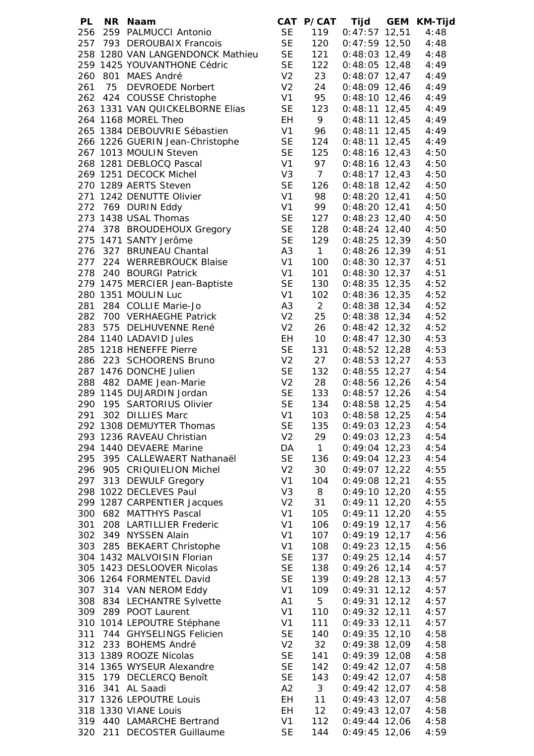| PL  | NR Naam                          |                      |                 | CAT P/CAT Tijd GEM KM-Tijd |      |
|-----|----------------------------------|----------------------|-----------------|----------------------------|------|
|     | 256 259 PALMUCCI Antonio         | <b>SE</b>            | 119             | $0:47:57$ 12,51            | 4:48 |
|     | 257 793 DEROUBAIX Francois       | SE<br>SE<br>SE<br>SE | 120             | $0:47:59$ 12,50            | 4:48 |
|     | 258 1280 VAN LANGENDONCK Mathieu |                      | 121             | $0:48:03$ 12,49            | 4:48 |
|     | 259 1425 YOUVANTHONE Cédric      |                      | 122             | $0:48:05$ 12,48            | 4:49 |
|     | 260 801 MAES André               | V <sub>2</sub>       | 23              |                            |      |
|     |                                  |                      |                 | $0:48:07$ 12,47            | 4:49 |
|     | 261 75 DEVROEDE Norbert          | V <sub>2</sub>       | 24              | $0:48:09$ 12,46            | 4:49 |
|     | 262 424 COUSSE Christophe        | V1                   | 95              | $0:48:10$ 12,46            | 4:49 |
|     | 263 1331 VAN QUICKELBORNE Elias  | <b>SE</b>            | 123             | $0:48:11$ 12,45            | 4:49 |
|     | 264 1168 MOREL Theo              | EH                   | 9               | $0:48:11$ 12,45            | 4:49 |
|     | 265 1384 DEBOUVRIE Sébastien     | V <sub>1</sub>       | 96              | $0:48:11$ 12,45            | 4:49 |
|     | 266 1226 GUERIN Jean-Christophe  | <b>SE</b>            | 124             | $0:48:11$ 12,45            | 4:49 |
|     | 267 1013 MOULIN Steven           | <b>SE</b>            | 125             | $0:48:16$ 12,43            | 4:50 |
|     | 268 1281 DEBLOCQ Pascal          | V <sub>1</sub>       | 97              | $0:48:16$ 12,43            | 4:50 |
|     | 269 1251 DECOCK Michel           | V <sub>3</sub>       | $7\overline{ }$ | $0:48:17$ 12,43            | 4:50 |
|     | 270 1289 AERTS Steven            | <b>SE</b>            | 126             | $0:48:18$ 12,42            | 4:50 |
|     | 271 1242 DENUTTE Olivier         | V <sub>1</sub>       | 98              | $0:48:20$ 12,41            |      |
|     |                                  |                      |                 |                            | 4:50 |
|     | 272 769 DURIN Eddy               | V <sub>1</sub>       | 99              | $0:48:20$ 12,41            | 4:50 |
|     | 273 1438 USAL Thomas             | <b>SE</b>            | 127             | $0:48:23$ 12,40            | 4:50 |
|     | 274 378 BROUDEHOUX Gregory       | <b>SE</b>            | 128             | $0:48:24$ 12,40            | 4:50 |
|     | 275 1471 SANTY Jerôme            | <b>SE</b>            | 129             | $0:48:25$ 12,39            | 4:50 |
|     | 276 327 BRUNEAU Chantal          | A <sub>3</sub>       | $\overline{1}$  | $0:48:26$ 12,39            | 4:51 |
|     | 277 224 WERREBROUCK Blaise       | V <sub>1</sub>       | 100             | $0:48:30$ 12,37            | 4:51 |
|     | 278 240 BOURGI Patrick           | V <sub>1</sub>       | 101             | $0:48:30$ 12,37            | 4:51 |
|     | 279 1475 MERCIER Jean-Baptiste   | <b>SE</b>            | 130             | $0:48:35$ 12,35 4:52       |      |
|     | 280 1351 MOULIN Luc              | V <sub>1</sub>       | 102             | $0:48:36$ 12,35 4:52       |      |
|     | 281 284 COLLIE Marie-Jo          | A <sub>3</sub>       | $\overline{2}$  |                            | 4:52 |
|     |                                  |                      |                 | $0:48:38$ 12,34            |      |
|     | 282 700 VERHAEGHE Patrick        | V <sub>2</sub>       | 25              | $0:48:38$ 12,34            | 4:52 |
|     | 283 575 DELHUVENNE René          | V <sub>2</sub>       | 26              | $0:48:42$ 12,32            | 4:52 |
|     | 284 1140 LADAVID Jules           | EH                   | 10              | $0:48:47$ 12,30            | 4:53 |
|     | 285 1218 HENEFFE Pierre          | <b>SE</b>            | 131             | $0:48:52$ 12,28            | 4:53 |
|     | 286 223 SCHOORENS Bruno          | V <sub>2</sub>       | 27              | $0:48:53$ 12,27            | 4:53 |
|     | 287 1476 DONCHE Julien           | <b>SE</b>            | 132             | $0:48:55$ 12,27 4:54       |      |
|     | 288 482 DAME Jean-Marie          | V <sub>2</sub>       | 28              | 0:48:56 12,26 4:54         |      |
|     | 289 1145 DUJARDIN Jordan         | <b>SE</b>            | 133             | $0:48:57$ 12,26 4:54       |      |
|     | 290 195 SARTORIUS Olivier        | <b>SE</b>            | 134             | $0:48:58$ 12,25 4:54       |      |
| 291 | 302 DILLIES Marc                 | V <sub>1</sub>       | 103             | $0:48:58$ 12,25            | 4:54 |
|     | 292 1308 DEMUYTER Thomas         | <b>SE</b>            | 135             | $0:49:03$ 12,23            | 4:54 |
|     | 293 1236 RAVEAU Christian        | V <sub>2</sub>       | 29              | $0:49:03$ 12,23            | 4:54 |
|     |                                  |                      |                 |                            |      |
|     | 294 1440 DEVAERE Marine          | DA                   | 1               | $0:49:04$ 12,23            | 4:54 |
| 295 | 395 CALLEWAERT Nathanaël         | <b>SE</b>            | 136             | $0:49:04$ 12,23            | 4:54 |
|     | 296 905 CRIQUIELION Michel       | V <sub>2</sub>       | 30              | $0:49:07$ 12,22            | 4:55 |
| 297 | 313 DEWULF Gregory               | V <sub>1</sub>       | 104             | $0:49:08$ 12,21            | 4:55 |
|     | 298 1022 DECLEVES Paul           | V <sub>3</sub>       | 8               | $0:49:10$ 12,20            | 4:55 |
|     | 299 1287 CARPENTIER Jacques      | V <sub>2</sub>       | 31              | $0:49:11$ 12,20            | 4:55 |
| 300 | 682 MATTHYS Pascal               | V <sub>1</sub>       | 105             | $0:49:11$ 12,20            | 4:55 |
| 301 | 208 LARTILLIER Frederic          | V <sub>1</sub>       | 106             | $0:49:19$ 12,17            | 4:56 |
| 302 | 349 NYSSEN Alain                 | V <sub>1</sub>       | 107             | $0:49:19$ 12,17            | 4:56 |
| 303 | 285 BEKAERT Christophe           | V <sub>1</sub>       | 108             | $0:49:23$ 12,15            | 4:56 |
|     | 304 1432 MALVOISIN Florian       | <b>SE</b>            | 137             | $0:49:25$ 12,14            | 4:57 |
|     | 305 1423 DESLOOVER Nicolas       | <b>SE</b>            | 138             | $0:49:26$ 12,14            | 4:57 |
|     |                                  |                      |                 |                            |      |
|     | 306 1264 FORMENTEL David         | <b>SE</b>            | 139             | $0:49:28$ 12,13            | 4:57 |
|     | 307 314 VAN NEROM Eddy           | V <sub>1</sub>       | 109             | $0:49:31$ 12,12            | 4:57 |
|     | 308 834 LECHANTRE Sylvette       | A1                   | 5 <sub>5</sub>  | $0:49:31$ 12,12            | 4:57 |
|     | 309 289 POOT Laurent             | V <sub>1</sub>       | 110             | $0:49:32$ 12,11            | 4:57 |
|     | 310 1014 LEPOUTRE Stéphane       | V <sub>1</sub>       | 111             | $0:49:33$ 12,11            | 4:57 |
| 311 | 744 GHYSELINGS Felicien          | <b>SE</b>            | 140             | $0:49:35$ 12,10            | 4:58 |
|     | 312 233 BOHEMS André             | V <sub>2</sub>       | 32              | $0:49:38$ 12,09            | 4:58 |
|     | 313 1389 ROOZE Nicolas           | <b>SE</b>            | 141             | $0:49:39$ 12,08            | 4:58 |
|     | 314 1365 WYSEUR Alexandre        | <b>SE</b>            | 142             | $0:49:42$ 12,07            | 4:58 |
|     | 315 179 DECLERCQ Benoît          | <b>SE</b>            | 143             | $0:49:42$ 12,07            | 4:58 |
|     | 316 341 AL Saadi                 | A2                   | 3 <sup>7</sup>  | $0:49:42$ 12,07            | 4:58 |
|     | 317 1326 LEPOUTRE Louis          |                      |                 | $0:49:43$ 12,07            |      |
|     |                                  | EH                   | 11              |                            | 4:58 |
|     | 318 1330 VIANE Louis             | EH                   | 12              | $0:49:43$ 12,07            | 4:58 |
|     | 319 440 LAMARCHE Bertrand        | V <sub>1</sub>       | 112             | $0:49:44$ 12,06            | 4:58 |
|     | 320 211 DECOSTER Guillaume       | <b>SE</b>            | 144             | $0:49:45$ 12,06            | 4:59 |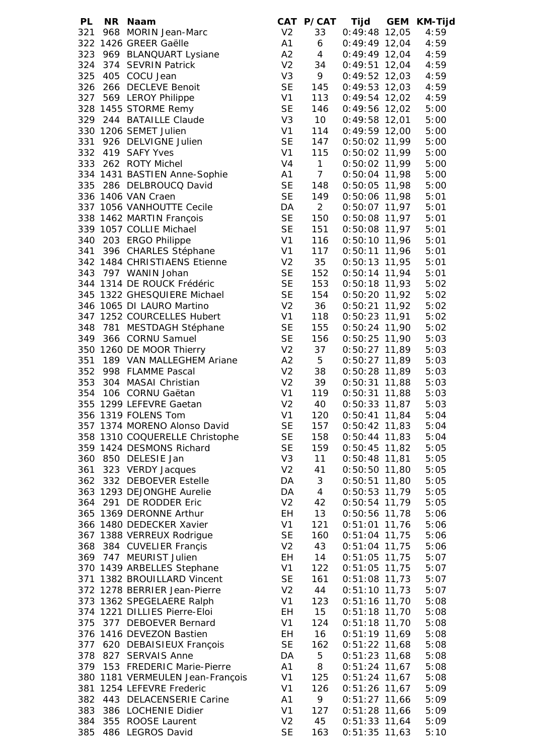| <b>PL</b> | NR Naam                        |                | CAT P/CAT       | Tijd            | GEM KM-Tijd |
|-----------|--------------------------------|----------------|-----------------|-----------------|-------------|
|           | 321 968 MORIN Jean-Marc        | V <sub>2</sub> | 33              | $0:49:48$ 12,05 | 4:59        |
|           | 322 1426 GREER Gaëlle          | A1             | 6               | $0:49:49$ 12,04 | 4:59        |
|           | 323 969 BLANQUART Lysiane      | A2             | 4               | $0:49:49$ 12,04 | 4:59        |
|           | 324 374 SEVRIN Patrick         | V <sub>2</sub> | 34              | $0:49:51$ 12,04 | 4:59        |
|           | 325 405 COCU Jean              | V <sub>3</sub> | 9               | $0:49:52$ 12,03 | 4:59        |
|           | 326 266 DECLEVE Benoit         | <b>SE</b>      | 145             | $0:49:53$ 12,03 | 4:59        |
|           | 327 569 LEROY Philippe         | V <sub>1</sub> | 113             | $0:49:54$ 12,02 | 4:59        |
|           | 328 1455 STORME Remy           | <b>SE</b>      | 146             | $0:49:56$ 12,02 | 5:00        |
|           |                                |                |                 |                 |             |
|           | 329 244 BATAILLE Claude        | V <sub>3</sub> | 10 <sup>1</sup> | $0:49:58$ 12,01 | 5:00        |
|           | 330 1206 SEMET Julien          | V <sub>1</sub> | 114             | $0:49:59$ 12,00 | 5:00        |
| 331       | 926 DELVIGNE Julien            | <b>SE</b>      | 147             | $0:50:02$ 11,99 | 5:00        |
|           | 332 419 SAFY Yves              | V <sub>1</sub> | 115             | 0:50:02 11,99   | 5:00        |
|           | 333 262 ROTY Michel            | V <sub>4</sub> | 1               | $0:50:02$ 11,99 | 5:00        |
|           | 334 1431 BASTIEN Anne-Sophie   | A1             | 7 <sup>7</sup>  | $0:50:04$ 11,98 | 5:00        |
| 335       | 286 DELBROUCQ David            | <b>SE</b>      | 148             | $0:50:05$ 11,98 | 5:00        |
|           | 336 1406 VAN Craen             | <b>SE</b>      | 149             | $0:50:06$ 11,98 | 5:01        |
|           | 337 1056 VANHOUTTE Cecile      | DA             | $2^{\circ}$     | $0:50:07$ 11,97 | 5:01        |
|           | 338 1462 MARTIN François       | <b>SE</b>      | 150             | $0:50:08$ 11,97 | 5:01        |
|           | 339 1057 COLLIE Michael        | <b>SE</b>      | 151             | $0:50:08$ 11,97 | 5:01        |
| 340       | 203 ERGO Philippe              | V <sub>1</sub> | 116             | $0:50:10$ 11,96 | 5:01        |
| 341       | 396 CHARLES Stéphane           | V <sub>1</sub> | 117             | $0:50:11$ 11,96 | 5:01        |
|           | 342 1484 CHRISTIAENS Etienne   | V <sub>2</sub> |                 |                 |             |
|           |                                |                | 35              | $0:50:13$ 11,95 | 5:01        |
|           | 343 797 WANIN Johan            | <b>SE</b>      | 152             | $0:50:14$ 11,94 | 5:01        |
|           | 344 1314 DE ROUCK Frédéric     | <b>SE</b>      | 153             | $0:50:18$ 11,93 | 5:02        |
|           | 345 1322 GHESQUIERE Michael    | <b>SE</b>      | 154             | $0:50:20$ 11,92 | 5:02        |
|           | 346 1065 DI LAURO Martino      | V <sub>2</sub> | 36              | $0:50:21$ 11,92 | 5:02        |
|           | 347 1252 COURCELLES Hubert     | V <sub>1</sub> | 118             | $0:50:23$ 11,91 | 5:02        |
| 348       | 781 MESTDAGH Stéphane          | <b>SE</b>      | 155             | $0:50:24$ 11,90 | 5:02        |
| 349       | 366 CORNU Samuel               | <b>SE</b>      | 156             | $0:50:25$ 11,90 | 5:03        |
|           | 350 1260 DE MOOR Thierry       | V <sub>2</sub> | 37              | $0:50:27$ 11,89 | 5:03        |
| 351       | 189 VAN MALLEGHEM Ariane       | A2             | 5 <sup>1</sup>  | $0:50:27$ 11,89 | 5:03        |
|           | 352 998 FLAMME Pascal          | V <sub>2</sub> | 38              | $0:50:28$ 11,89 | 5:03        |
|           | 353 304 MASAI Christian        | V <sub>2</sub> | 39              | $0:50:31$ 11,88 | 5:03        |
|           | 354 106 CORNU Gaëtan           | V <sub>1</sub> | 119             | $0:50:31$ 11,88 | 5:03        |
|           | 355 1299 LEFEVRE Gaetan        | V <sub>2</sub> | 40              | $0:50:33$ 11,87 | 5:03        |
|           | 356 1319 FOLENS Tom            | V <sub>1</sub> | 120             | $0:50:41$ 11,84 | 5:04        |
|           |                                |                |                 |                 |             |
|           | 357 1374 MORENO Alonso David   | <b>SE</b>      | 157             | $0:50:42$ 11,83 | 5:04        |
|           | 358 1310 COQUERELLE Christophe | <b>SE</b>      | 158             | $0:50:44$ 11,83 | 5:04        |
|           | 359 1424 DESMONS Richard       | <b>SE</b>      | 159             | $0:50:45$ 11,82 | 5:05        |
|           | 360 850 DELESIE Jan            | V <sub>3</sub> | 11              | $0:50:48$ 11,81 | 5:05        |
| 361       | 323 VERDY Jacques              | V <sub>2</sub> | 41              | $0:50:50$ 11,80 | 5:05        |
| 362       | 332 DEBOEVER Estelle           | DA             | 3               | $0:50:51$ 11,80 | 5:05        |
|           | 363 1293 DEJONGHE Aurelie      | DA             | 4               | $0:50:53$ 11,79 | 5:05        |
| 364       | 291 DE RODDER Eric             | V <sub>2</sub> | 42              | $0:50:54$ 11,79 | 5:05        |
|           | 365 1369 DERONNE Arthur        | EH             | 13              | $0:50:56$ 11,78 | 5:06        |
|           | 366 1480 DEDECKER Xavier       | V <sub>1</sub> | 121             | $0:51:01$ 11,76 | 5:06        |
|           | 367 1388 VERREUX Rodrigue      | <b>SE</b>      | 160             | $0:51:04$ 11,75 | 5:06        |
| 368       | 384 CUVELIER Françis           | V <sub>2</sub> | 43              | $0:51:04$ 11,75 | 5:06        |
| 369       | 747 MEURIST Julien             | EH             | 14              | $0:51:05$ 11,75 | 5:07        |
|           | 370 1439 ARBELLES Stephane     | V <sub>1</sub> | 122             | $0:51:05$ 11,75 | 5:07        |
| 371       | 1382 BROUILLARD Vincent        | <b>SE</b>      | 161             | $0:51:08$ 11,73 | 5:07        |
|           |                                |                |                 |                 |             |
|           | 372 1278 BERRIER Jean-Pierre   | V <sub>2</sub> | 44              | $0:51:10$ 11,73 | 5:07        |
|           | 373 1362 SPEGELAERE Ralph      | V <sub>1</sub> | 123             | $0:51:16$ 11,70 | 5:08        |
|           | 374 1221 DILLIES Pierre-Eloi   | EH             | 15              | $0:51:18$ 11,70 | 5:08        |
| 375       | 377 DEBOEVER Bernard           | V <sub>1</sub> | 124             | $0:51:18$ 11,70 | 5:08        |
|           | 376 1416 DEVEZON Bastien       | EH             | 16              | $0:51:19$ 11,69 | 5:08        |
| 377       | 620 DEBAISIEUX François        | <b>SE</b>      | 162             | $0:51:22$ 11,68 | 5:08        |
| 378       | 827 SERVAIS Anne               | DA             | 5               | $0:51:23$ 11,68 | 5:08        |
| 379       | 153 FREDERIC Marie-Pierre      | A1             | 8               | $0:51:24$ 11,67 | 5:08        |
| 380       | 1181 VERMEULEN Jean-François   | V <sub>1</sub> | 125             | $0:51:24$ 11,67 | 5:08        |
| 381       | 1254 LEFEVRE Frederic          | V <sub>1</sub> | 126             | $0:51:26$ 11,67 | 5:09        |
| 382       | 443 DELACENSERIE Carine        | A <sub>1</sub> | 9               | $0:51:27$ 11,66 | 5:09        |
| 383       | 386 LOCHENIE Didier            | V <sub>1</sub> | 127             | $0:51:28$ 11,66 | 5:09        |
| 384       | 355 ROOSE Laurent              | V <sub>2</sub> | 45              | $0:51:33$ 11,64 | 5:09        |
| 385       | 486 LEGROS David               | <b>SE</b>      | 163             | $0:51:35$ 11,63 | 5:10        |
|           |                                |                |                 |                 |             |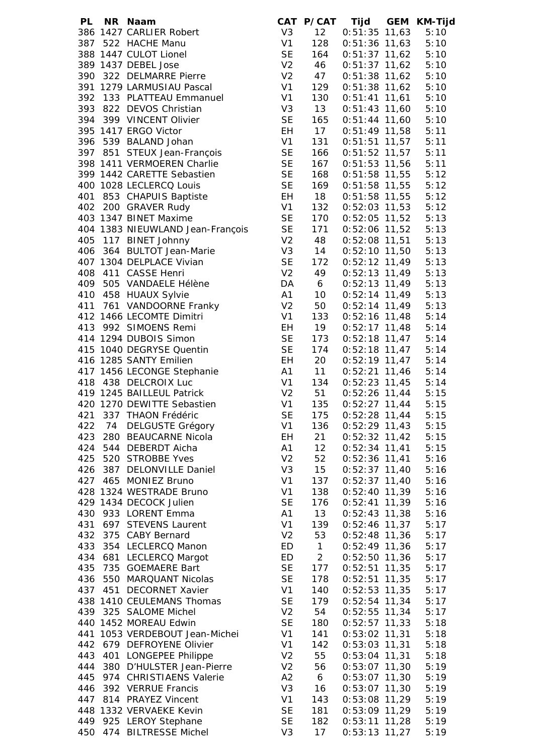| 386 1427 CARLIER Robert<br>12<br>$0:51:35$ 11,63<br>V <sub>3</sub><br>387 522 HACHE Manu<br>V1<br>128<br>$0:51:36$ 11,63<br>5:10<br><b>SE</b><br>388 1447 CULOT Lionel<br>$0:51:37$ 11,62<br>164<br>5:10<br>389 1437 DEBEL Jose<br>V <sub>2</sub><br>$0:51:37$ 11,62<br>46<br>5:10<br>390 322 DELMARRE Pierre<br>V <sub>2</sub><br>$0:51:38$ 11,62<br>47<br>5:10<br>391 1279 LARMUSIAU Pascal<br>V <sub>1</sub><br>$0:51:38$ 11,62<br>129<br>5:10<br>392 133 PLATTEAU Emmanuel<br>V1<br>130<br>$0:51:41$ 11,61<br>5:10<br>393 822 DEVOS Christian<br>V <sub>3</sub><br>13<br>$0:51:43$ 11,60<br>5:10<br><b>SE</b><br>394 399 VINCENT Olivier<br>165<br>$0:51:44$ 11,60<br>5:10<br>395 1417 ERGO Victor<br>EH<br>17<br>$0:51:49$ 11,58<br>5:11<br>V <sub>1</sub><br>396 539 BALAND Johan<br>131<br>$0:51:51$ 11,57<br>5:11<br><b>SE</b><br>397 851 STEUX Jean-François<br>166<br>$0:51:52$ 11,57<br>5:11<br><b>SE</b><br>398 1411 VERMOEREN Charlie<br>167<br>$0:51:53$ 11,56<br>5:11<br><b>SE</b><br>399 1442 CARETTE Sebastien<br>168<br>$0:51:58$ 11,55<br>5:12<br><b>SE</b><br>400 1028 LECLERCQ Louis<br>169<br>$0:51:58$ 11,55<br>5:12<br>853 CHAPUIS Baptiste<br>EH<br>18<br>401<br>$0:51:58$ 11,55<br>5:12<br>V <sub>1</sub><br>402 200 GRAVER Rudy<br>132<br>$0:52:03$ 11,53<br>5:12<br><b>SE</b><br>403 1347 BINET Maxime<br>170<br>0:52:05 11,52<br>5:13<br><b>SE</b><br>404 1383 NIEUWLAND Jean-François<br>0:52:06 11,52 5:13<br>171<br>405 117 BINET Johnny<br>V <sub>2</sub><br>48<br>$0:52:08$ 11,51 $5:13$<br>406 364 BULTOT Jean-Marie<br>V <sub>3</sub><br>14<br>0:52:10 11,50<br>5:13<br><b>SE</b><br>407 1304 DELPLACE Vivian<br>172<br>$0:52:12$ 11,49<br>5:13<br>V <sub>2</sub><br>408 411 CASSE Henri<br>49<br>$0:52:13$ 11,49<br>5:13<br>409 505 VANDAELE Hélène<br>DA<br>6<br>$0:52:13$ 11,49<br>5:13<br>410 458 HUAUX Sylvie<br>A1<br>10<br>$0:52:14$ 11,49<br>5:13<br>411 761 VANDOORNE Franky<br>V <sub>2</sub><br>50<br>$0:52:14$ 11,49<br>5:13<br>V <sub>1</sub><br>412 1466 LECOMTE Dimitri<br>133<br>$0:52:16$ 11,48<br>5:14<br>EH<br>19<br>413 992 SIMOENS Remi<br>$0:52:17$ 11,48<br>5:14<br><b>SE</b><br>$0:52:18$ 11,47<br>414 1294 DUBOIS Simon<br>173<br>5:14<br>415 1040 DEGRYSE Quentin<br>$0:52:18$ 11,47<br><b>SE</b><br>174<br>5:14<br>$0:52:19$ 11,47<br>416 1285 SANTY Emilien<br>20<br>EH<br>5:14<br>$0:52:21$ 11,46<br>417 1456 LECONGE Stephanie<br>A1<br>11<br>5:14<br>V1<br>$0:52:23$ 11,45<br>418 438 DELCROIX Luc<br>134<br>5:14<br>V <sub>2</sub><br>$0:52:26$ 11,44 $5:15$<br>419 1245 BAILLEUL Patrick<br>51<br>135<br>420 1270 DEWITTE Sebastien<br>V1<br>$0:52:27$ 11,44 $5:15$<br><b>SE</b><br>421 337 THAON Frédéric<br>175<br>$0:52:28$ 11,44<br>5:15<br>74<br><b>DELGUSTE Grégory</b><br>V <sub>1</sub><br>136<br>$0:52:29$ 11,43<br>5:15<br>422<br>280 BEAUCARNE Nicola<br>21<br>$0:52:32$ 11,42<br>423<br><b>EH</b><br>5:15<br>424<br>544 DEBERDT Aicha<br>A1<br>$0:52:34$ 11,41<br>$12 \overline{ }$<br>5:15<br>425<br>520 STROBBE Yves<br>V <sub>2</sub><br>52<br>$0:52:36$ 11,41<br>5:16<br>426<br>V <sub>3</sub><br>$0:52:37$ 11,40<br>387 DELONVILLE Daniel<br>15<br>5:16<br>427<br>V <sub>1</sub><br>137<br>465<br><b>MONIEZ Bruno</b><br>$0:52:37$ 11,40<br>5:16<br>V <sub>1</sub><br>138<br>$0:52:40$ 11,39<br>428 1324 WESTRADE Bruno<br>5:16<br><b>SE</b><br>176<br>$0:52:41$ 11,39<br>429 1434 DECOCK Julien<br>5:16<br>A1<br>13<br>430<br>933 LORENT Emma<br>$0:52:43$ 11,38<br>5:16<br>V <sub>1</sub><br>431<br>697<br>139<br>$0:52:46$ 11,37<br><b>STEVENS Laurent</b><br>5:17<br>432<br>V <sub>2</sub><br>$0:52:48$ 11,36<br>375<br><b>CABY Bernard</b><br>53<br>5:17<br>433<br>354 LECLERCQ Manon<br>$0:52:49$ 11,36<br>ED<br>$\mathbf{1}$<br>5:17<br>$\overline{2}$<br>434<br>681<br><b>LECLERCQ Margot</b><br>ED<br>$0:52:50$ 11,36<br>5:17<br>435<br>735<br><b>SE</b><br><b>GOEMAERE Bart</b><br>177<br>$0:52:51$ 11,35<br>5:17<br>550<br><b>SE</b><br>436<br>MARQUANT Nicolas<br>178<br>$0:52:51$ 11,35<br>5:17<br>V <sub>1</sub><br>$0:52:53$ 11,35<br>437<br>451<br><b>DECORNET Xavier</b><br>140<br>5:17<br><b>SE</b><br>438 1410 CEULEMANS Thomas<br>179<br>$0:52:54$ 11,34<br>5:17<br>V <sub>2</sub><br>439<br>325 SALOME Michel<br>54<br>$0:52:55$ 11,34<br>5:17<br><b>SE</b><br>440 1452 MOREAU Edwin<br>180<br>$0:52:57$ 11,33<br>5:18<br>V <sub>1</sub><br>441<br>1053 VERDEBOUT Jean-Michei<br>141<br>$0:53:02$ 11,31<br>5:18<br>V <sub>1</sub><br>$0:53:03$ 11,31<br>442 679 DEFROYENE Olivier<br>142<br>5:18<br>V <sub>2</sub><br>443<br>401 LONGEPEE Philippe<br>55<br>$0:53:04$ 11,31<br>5:18<br>V <sub>2</sub><br>444<br>380 D'HULSTER Jean-Pierre<br>$0:53:07$ 11,30<br>5:19<br>56<br>445<br>974 CHRISTIAENS Valerie<br>A2<br>6<br>$0:53:07$ 11,30<br>5:19<br>446<br>392 VERRUE Francis<br>V <sub>3</sub><br>$0:53:07$ 11,30<br>5:19<br>16<br>V <sub>1</sub><br>$0:53:08$ 11,29<br>447 814 PRAYEZ Vincent<br>143<br>5:19<br><b>SE</b><br>$0:53:09$ 11,29<br>448 1332 VERVAEKE Kevin<br>181<br>5:19<br>449 925 LEROY Stephane<br><b>SE</b><br>$0:53:11$ 11,28<br>182<br>5:19<br>450 474 BILTRESSE Michel<br>V <sub>3</sub><br>$0:53:13$ 11,27<br>17<br>5:19 | PL | NR Naam | CAT P/CAT | Tijd | <b>GEM</b> | <b>KM-Tijd</b> |
|---------------------------------------------------------------------------------------------------------------------------------------------------------------------------------------------------------------------------------------------------------------------------------------------------------------------------------------------------------------------------------------------------------------------------------------------------------------------------------------------------------------------------------------------------------------------------------------------------------------------------------------------------------------------------------------------------------------------------------------------------------------------------------------------------------------------------------------------------------------------------------------------------------------------------------------------------------------------------------------------------------------------------------------------------------------------------------------------------------------------------------------------------------------------------------------------------------------------------------------------------------------------------------------------------------------------------------------------------------------------------------------------------------------------------------------------------------------------------------------------------------------------------------------------------------------------------------------------------------------------------------------------------------------------------------------------------------------------------------------------------------------------------------------------------------------------------------------------------------------------------------------------------------------------------------------------------------------------------------------------------------------------------------------------------------------------------------------------------------------------------------------------------------------------------------------------------------------------------------------------------------------------------------------------------------------------------------------------------------------------------------------------------------------------------------------------------------------------------------------------------------------------------------------------------------------------------------------------------------------------------------------------------------------------------------------------------------------------------------------------------------------------------------------------------------------------------------------------------------------------------------------------------------------------------------------------------------------------------------------------------------------------------------------------------------------------------------------------------------------------------------------------------------------------------------------------------------------------------------------------------------------------------------------------------------------------------------------------------------------------------------------------------------------------------------------------------------------------------------------------------------------------------------------------------------------------------------------------------------------------------------------------------------------------------------------------------------------------------------------------------------------------------------------------------------------------------------------------------------------------------------------------------------------------------------------------------------------------------------------------------------------------------------------------------------------------------------------------------------------------------------------------------------------------------------------------------------------------------------------------------------------------------------------------------------------------------------------------------------------------------------------------------------------------------------------------------------------------------------------------------------------------------------------------------------------------------------------------------------------------------------------------------------------------------------------------------------------------------------------------------------------------------------------------------------------------------------------------------------------------------------------------------------------------------------------------------------------------------------------------------------------------------------------------------------------------------------------------------------------------------------------------------------------|----|---------|-----------|------|------------|----------------|
|                                                                                                                                                                                                                                                                                                                                                                                                                                                                                                                                                                                                                                                                                                                                                                                                                                                                                                                                                                                                                                                                                                                                                                                                                                                                                                                                                                                                                                                                                                                                                                                                                                                                                                                                                                                                                                                                                                                                                                                                                                                                                                                                                                                                                                                                                                                                                                                                                                                                                                                                                                                                                                                                                                                                                                                                                                                                                                                                                                                                                                                                                                                                                                                                                                                                                                                                                                                                                                                                                                                                                                                                                                                                                                                                                                                                                                                                                                                                                                                                                                                                                                                                                                                                                                                                                                                                                                                                                                                                                                                                                                                                                                                                                                                                                                                                                                                                                                                                                                                                                                                                                                                                                               |    |         |           |      |            | 5:10           |
|                                                                                                                                                                                                                                                                                                                                                                                                                                                                                                                                                                                                                                                                                                                                                                                                                                                                                                                                                                                                                                                                                                                                                                                                                                                                                                                                                                                                                                                                                                                                                                                                                                                                                                                                                                                                                                                                                                                                                                                                                                                                                                                                                                                                                                                                                                                                                                                                                                                                                                                                                                                                                                                                                                                                                                                                                                                                                                                                                                                                                                                                                                                                                                                                                                                                                                                                                                                                                                                                                                                                                                                                                                                                                                                                                                                                                                                                                                                                                                                                                                                                                                                                                                                                                                                                                                                                                                                                                                                                                                                                                                                                                                                                                                                                                                                                                                                                                                                                                                                                                                                                                                                                                               |    |         |           |      |            |                |
|                                                                                                                                                                                                                                                                                                                                                                                                                                                                                                                                                                                                                                                                                                                                                                                                                                                                                                                                                                                                                                                                                                                                                                                                                                                                                                                                                                                                                                                                                                                                                                                                                                                                                                                                                                                                                                                                                                                                                                                                                                                                                                                                                                                                                                                                                                                                                                                                                                                                                                                                                                                                                                                                                                                                                                                                                                                                                                                                                                                                                                                                                                                                                                                                                                                                                                                                                                                                                                                                                                                                                                                                                                                                                                                                                                                                                                                                                                                                                                                                                                                                                                                                                                                                                                                                                                                                                                                                                                                                                                                                                                                                                                                                                                                                                                                                                                                                                                                                                                                                                                                                                                                                                               |    |         |           |      |            |                |
|                                                                                                                                                                                                                                                                                                                                                                                                                                                                                                                                                                                                                                                                                                                                                                                                                                                                                                                                                                                                                                                                                                                                                                                                                                                                                                                                                                                                                                                                                                                                                                                                                                                                                                                                                                                                                                                                                                                                                                                                                                                                                                                                                                                                                                                                                                                                                                                                                                                                                                                                                                                                                                                                                                                                                                                                                                                                                                                                                                                                                                                                                                                                                                                                                                                                                                                                                                                                                                                                                                                                                                                                                                                                                                                                                                                                                                                                                                                                                                                                                                                                                                                                                                                                                                                                                                                                                                                                                                                                                                                                                                                                                                                                                                                                                                                                                                                                                                                                                                                                                                                                                                                                                               |    |         |           |      |            |                |
|                                                                                                                                                                                                                                                                                                                                                                                                                                                                                                                                                                                                                                                                                                                                                                                                                                                                                                                                                                                                                                                                                                                                                                                                                                                                                                                                                                                                                                                                                                                                                                                                                                                                                                                                                                                                                                                                                                                                                                                                                                                                                                                                                                                                                                                                                                                                                                                                                                                                                                                                                                                                                                                                                                                                                                                                                                                                                                                                                                                                                                                                                                                                                                                                                                                                                                                                                                                                                                                                                                                                                                                                                                                                                                                                                                                                                                                                                                                                                                                                                                                                                                                                                                                                                                                                                                                                                                                                                                                                                                                                                                                                                                                                                                                                                                                                                                                                                                                                                                                                                                                                                                                                                               |    |         |           |      |            |                |
|                                                                                                                                                                                                                                                                                                                                                                                                                                                                                                                                                                                                                                                                                                                                                                                                                                                                                                                                                                                                                                                                                                                                                                                                                                                                                                                                                                                                                                                                                                                                                                                                                                                                                                                                                                                                                                                                                                                                                                                                                                                                                                                                                                                                                                                                                                                                                                                                                                                                                                                                                                                                                                                                                                                                                                                                                                                                                                                                                                                                                                                                                                                                                                                                                                                                                                                                                                                                                                                                                                                                                                                                                                                                                                                                                                                                                                                                                                                                                                                                                                                                                                                                                                                                                                                                                                                                                                                                                                                                                                                                                                                                                                                                                                                                                                                                                                                                                                                                                                                                                                                                                                                                                               |    |         |           |      |            |                |
|                                                                                                                                                                                                                                                                                                                                                                                                                                                                                                                                                                                                                                                                                                                                                                                                                                                                                                                                                                                                                                                                                                                                                                                                                                                                                                                                                                                                                                                                                                                                                                                                                                                                                                                                                                                                                                                                                                                                                                                                                                                                                                                                                                                                                                                                                                                                                                                                                                                                                                                                                                                                                                                                                                                                                                                                                                                                                                                                                                                                                                                                                                                                                                                                                                                                                                                                                                                                                                                                                                                                                                                                                                                                                                                                                                                                                                                                                                                                                                                                                                                                                                                                                                                                                                                                                                                                                                                                                                                                                                                                                                                                                                                                                                                                                                                                                                                                                                                                                                                                                                                                                                                                                               |    |         |           |      |            |                |
|                                                                                                                                                                                                                                                                                                                                                                                                                                                                                                                                                                                                                                                                                                                                                                                                                                                                                                                                                                                                                                                                                                                                                                                                                                                                                                                                                                                                                                                                                                                                                                                                                                                                                                                                                                                                                                                                                                                                                                                                                                                                                                                                                                                                                                                                                                                                                                                                                                                                                                                                                                                                                                                                                                                                                                                                                                                                                                                                                                                                                                                                                                                                                                                                                                                                                                                                                                                                                                                                                                                                                                                                                                                                                                                                                                                                                                                                                                                                                                                                                                                                                                                                                                                                                                                                                                                                                                                                                                                                                                                                                                                                                                                                                                                                                                                                                                                                                                                                                                                                                                                                                                                                                               |    |         |           |      |            |                |
|                                                                                                                                                                                                                                                                                                                                                                                                                                                                                                                                                                                                                                                                                                                                                                                                                                                                                                                                                                                                                                                                                                                                                                                                                                                                                                                                                                                                                                                                                                                                                                                                                                                                                                                                                                                                                                                                                                                                                                                                                                                                                                                                                                                                                                                                                                                                                                                                                                                                                                                                                                                                                                                                                                                                                                                                                                                                                                                                                                                                                                                                                                                                                                                                                                                                                                                                                                                                                                                                                                                                                                                                                                                                                                                                                                                                                                                                                                                                                                                                                                                                                                                                                                                                                                                                                                                                                                                                                                                                                                                                                                                                                                                                                                                                                                                                                                                                                                                                                                                                                                                                                                                                                               |    |         |           |      |            |                |
|                                                                                                                                                                                                                                                                                                                                                                                                                                                                                                                                                                                                                                                                                                                                                                                                                                                                                                                                                                                                                                                                                                                                                                                                                                                                                                                                                                                                                                                                                                                                                                                                                                                                                                                                                                                                                                                                                                                                                                                                                                                                                                                                                                                                                                                                                                                                                                                                                                                                                                                                                                                                                                                                                                                                                                                                                                                                                                                                                                                                                                                                                                                                                                                                                                                                                                                                                                                                                                                                                                                                                                                                                                                                                                                                                                                                                                                                                                                                                                                                                                                                                                                                                                                                                                                                                                                                                                                                                                                                                                                                                                                                                                                                                                                                                                                                                                                                                                                                                                                                                                                                                                                                                               |    |         |           |      |            |                |
|                                                                                                                                                                                                                                                                                                                                                                                                                                                                                                                                                                                                                                                                                                                                                                                                                                                                                                                                                                                                                                                                                                                                                                                                                                                                                                                                                                                                                                                                                                                                                                                                                                                                                                                                                                                                                                                                                                                                                                                                                                                                                                                                                                                                                                                                                                                                                                                                                                                                                                                                                                                                                                                                                                                                                                                                                                                                                                                                                                                                                                                                                                                                                                                                                                                                                                                                                                                                                                                                                                                                                                                                                                                                                                                                                                                                                                                                                                                                                                                                                                                                                                                                                                                                                                                                                                                                                                                                                                                                                                                                                                                                                                                                                                                                                                                                                                                                                                                                                                                                                                                                                                                                                               |    |         |           |      |            |                |
|                                                                                                                                                                                                                                                                                                                                                                                                                                                                                                                                                                                                                                                                                                                                                                                                                                                                                                                                                                                                                                                                                                                                                                                                                                                                                                                                                                                                                                                                                                                                                                                                                                                                                                                                                                                                                                                                                                                                                                                                                                                                                                                                                                                                                                                                                                                                                                                                                                                                                                                                                                                                                                                                                                                                                                                                                                                                                                                                                                                                                                                                                                                                                                                                                                                                                                                                                                                                                                                                                                                                                                                                                                                                                                                                                                                                                                                                                                                                                                                                                                                                                                                                                                                                                                                                                                                                                                                                                                                                                                                                                                                                                                                                                                                                                                                                                                                                                                                                                                                                                                                                                                                                                               |    |         |           |      |            |                |
|                                                                                                                                                                                                                                                                                                                                                                                                                                                                                                                                                                                                                                                                                                                                                                                                                                                                                                                                                                                                                                                                                                                                                                                                                                                                                                                                                                                                                                                                                                                                                                                                                                                                                                                                                                                                                                                                                                                                                                                                                                                                                                                                                                                                                                                                                                                                                                                                                                                                                                                                                                                                                                                                                                                                                                                                                                                                                                                                                                                                                                                                                                                                                                                                                                                                                                                                                                                                                                                                                                                                                                                                                                                                                                                                                                                                                                                                                                                                                                                                                                                                                                                                                                                                                                                                                                                                                                                                                                                                                                                                                                                                                                                                                                                                                                                                                                                                                                                                                                                                                                                                                                                                                               |    |         |           |      |            |                |
|                                                                                                                                                                                                                                                                                                                                                                                                                                                                                                                                                                                                                                                                                                                                                                                                                                                                                                                                                                                                                                                                                                                                                                                                                                                                                                                                                                                                                                                                                                                                                                                                                                                                                                                                                                                                                                                                                                                                                                                                                                                                                                                                                                                                                                                                                                                                                                                                                                                                                                                                                                                                                                                                                                                                                                                                                                                                                                                                                                                                                                                                                                                                                                                                                                                                                                                                                                                                                                                                                                                                                                                                                                                                                                                                                                                                                                                                                                                                                                                                                                                                                                                                                                                                                                                                                                                                                                                                                                                                                                                                                                                                                                                                                                                                                                                                                                                                                                                                                                                                                                                                                                                                                               |    |         |           |      |            |                |
|                                                                                                                                                                                                                                                                                                                                                                                                                                                                                                                                                                                                                                                                                                                                                                                                                                                                                                                                                                                                                                                                                                                                                                                                                                                                                                                                                                                                                                                                                                                                                                                                                                                                                                                                                                                                                                                                                                                                                                                                                                                                                                                                                                                                                                                                                                                                                                                                                                                                                                                                                                                                                                                                                                                                                                                                                                                                                                                                                                                                                                                                                                                                                                                                                                                                                                                                                                                                                                                                                                                                                                                                                                                                                                                                                                                                                                                                                                                                                                                                                                                                                                                                                                                                                                                                                                                                                                                                                                                                                                                                                                                                                                                                                                                                                                                                                                                                                                                                                                                                                                                                                                                                                               |    |         |           |      |            |                |
|                                                                                                                                                                                                                                                                                                                                                                                                                                                                                                                                                                                                                                                                                                                                                                                                                                                                                                                                                                                                                                                                                                                                                                                                                                                                                                                                                                                                                                                                                                                                                                                                                                                                                                                                                                                                                                                                                                                                                                                                                                                                                                                                                                                                                                                                                                                                                                                                                                                                                                                                                                                                                                                                                                                                                                                                                                                                                                                                                                                                                                                                                                                                                                                                                                                                                                                                                                                                                                                                                                                                                                                                                                                                                                                                                                                                                                                                                                                                                                                                                                                                                                                                                                                                                                                                                                                                                                                                                                                                                                                                                                                                                                                                                                                                                                                                                                                                                                                                                                                                                                                                                                                                                               |    |         |           |      |            |                |
|                                                                                                                                                                                                                                                                                                                                                                                                                                                                                                                                                                                                                                                                                                                                                                                                                                                                                                                                                                                                                                                                                                                                                                                                                                                                                                                                                                                                                                                                                                                                                                                                                                                                                                                                                                                                                                                                                                                                                                                                                                                                                                                                                                                                                                                                                                                                                                                                                                                                                                                                                                                                                                                                                                                                                                                                                                                                                                                                                                                                                                                                                                                                                                                                                                                                                                                                                                                                                                                                                                                                                                                                                                                                                                                                                                                                                                                                                                                                                                                                                                                                                                                                                                                                                                                                                                                                                                                                                                                                                                                                                                                                                                                                                                                                                                                                                                                                                                                                                                                                                                                                                                                                                               |    |         |           |      |            |                |
|                                                                                                                                                                                                                                                                                                                                                                                                                                                                                                                                                                                                                                                                                                                                                                                                                                                                                                                                                                                                                                                                                                                                                                                                                                                                                                                                                                                                                                                                                                                                                                                                                                                                                                                                                                                                                                                                                                                                                                                                                                                                                                                                                                                                                                                                                                                                                                                                                                                                                                                                                                                                                                                                                                                                                                                                                                                                                                                                                                                                                                                                                                                                                                                                                                                                                                                                                                                                                                                                                                                                                                                                                                                                                                                                                                                                                                                                                                                                                                                                                                                                                                                                                                                                                                                                                                                                                                                                                                                                                                                                                                                                                                                                                                                                                                                                                                                                                                                                                                                                                                                                                                                                                               |    |         |           |      |            |                |
|                                                                                                                                                                                                                                                                                                                                                                                                                                                                                                                                                                                                                                                                                                                                                                                                                                                                                                                                                                                                                                                                                                                                                                                                                                                                                                                                                                                                                                                                                                                                                                                                                                                                                                                                                                                                                                                                                                                                                                                                                                                                                                                                                                                                                                                                                                                                                                                                                                                                                                                                                                                                                                                                                                                                                                                                                                                                                                                                                                                                                                                                                                                                                                                                                                                                                                                                                                                                                                                                                                                                                                                                                                                                                                                                                                                                                                                                                                                                                                                                                                                                                                                                                                                                                                                                                                                                                                                                                                                                                                                                                                                                                                                                                                                                                                                                                                                                                                                                                                                                                                                                                                                                                               |    |         |           |      |            |                |
|                                                                                                                                                                                                                                                                                                                                                                                                                                                                                                                                                                                                                                                                                                                                                                                                                                                                                                                                                                                                                                                                                                                                                                                                                                                                                                                                                                                                                                                                                                                                                                                                                                                                                                                                                                                                                                                                                                                                                                                                                                                                                                                                                                                                                                                                                                                                                                                                                                                                                                                                                                                                                                                                                                                                                                                                                                                                                                                                                                                                                                                                                                                                                                                                                                                                                                                                                                                                                                                                                                                                                                                                                                                                                                                                                                                                                                                                                                                                                                                                                                                                                                                                                                                                                                                                                                                                                                                                                                                                                                                                                                                                                                                                                                                                                                                                                                                                                                                                                                                                                                                                                                                                                               |    |         |           |      |            |                |
|                                                                                                                                                                                                                                                                                                                                                                                                                                                                                                                                                                                                                                                                                                                                                                                                                                                                                                                                                                                                                                                                                                                                                                                                                                                                                                                                                                                                                                                                                                                                                                                                                                                                                                                                                                                                                                                                                                                                                                                                                                                                                                                                                                                                                                                                                                                                                                                                                                                                                                                                                                                                                                                                                                                                                                                                                                                                                                                                                                                                                                                                                                                                                                                                                                                                                                                                                                                                                                                                                                                                                                                                                                                                                                                                                                                                                                                                                                                                                                                                                                                                                                                                                                                                                                                                                                                                                                                                                                                                                                                                                                                                                                                                                                                                                                                                                                                                                                                                                                                                                                                                                                                                                               |    |         |           |      |            |                |
|                                                                                                                                                                                                                                                                                                                                                                                                                                                                                                                                                                                                                                                                                                                                                                                                                                                                                                                                                                                                                                                                                                                                                                                                                                                                                                                                                                                                                                                                                                                                                                                                                                                                                                                                                                                                                                                                                                                                                                                                                                                                                                                                                                                                                                                                                                                                                                                                                                                                                                                                                                                                                                                                                                                                                                                                                                                                                                                                                                                                                                                                                                                                                                                                                                                                                                                                                                                                                                                                                                                                                                                                                                                                                                                                                                                                                                                                                                                                                                                                                                                                                                                                                                                                                                                                                                                                                                                                                                                                                                                                                                                                                                                                                                                                                                                                                                                                                                                                                                                                                                                                                                                                                               |    |         |           |      |            |                |
|                                                                                                                                                                                                                                                                                                                                                                                                                                                                                                                                                                                                                                                                                                                                                                                                                                                                                                                                                                                                                                                                                                                                                                                                                                                                                                                                                                                                                                                                                                                                                                                                                                                                                                                                                                                                                                                                                                                                                                                                                                                                                                                                                                                                                                                                                                                                                                                                                                                                                                                                                                                                                                                                                                                                                                                                                                                                                                                                                                                                                                                                                                                                                                                                                                                                                                                                                                                                                                                                                                                                                                                                                                                                                                                                                                                                                                                                                                                                                                                                                                                                                                                                                                                                                                                                                                                                                                                                                                                                                                                                                                                                                                                                                                                                                                                                                                                                                                                                                                                                                                                                                                                                                               |    |         |           |      |            |                |
|                                                                                                                                                                                                                                                                                                                                                                                                                                                                                                                                                                                                                                                                                                                                                                                                                                                                                                                                                                                                                                                                                                                                                                                                                                                                                                                                                                                                                                                                                                                                                                                                                                                                                                                                                                                                                                                                                                                                                                                                                                                                                                                                                                                                                                                                                                                                                                                                                                                                                                                                                                                                                                                                                                                                                                                                                                                                                                                                                                                                                                                                                                                                                                                                                                                                                                                                                                                                                                                                                                                                                                                                                                                                                                                                                                                                                                                                                                                                                                                                                                                                                                                                                                                                                                                                                                                                                                                                                                                                                                                                                                                                                                                                                                                                                                                                                                                                                                                                                                                                                                                                                                                                                               |    |         |           |      |            |                |
|                                                                                                                                                                                                                                                                                                                                                                                                                                                                                                                                                                                                                                                                                                                                                                                                                                                                                                                                                                                                                                                                                                                                                                                                                                                                                                                                                                                                                                                                                                                                                                                                                                                                                                                                                                                                                                                                                                                                                                                                                                                                                                                                                                                                                                                                                                                                                                                                                                                                                                                                                                                                                                                                                                                                                                                                                                                                                                                                                                                                                                                                                                                                                                                                                                                                                                                                                                                                                                                                                                                                                                                                                                                                                                                                                                                                                                                                                                                                                                                                                                                                                                                                                                                                                                                                                                                                                                                                                                                                                                                                                                                                                                                                                                                                                                                                                                                                                                                                                                                                                                                                                                                                                               |    |         |           |      |            |                |
|                                                                                                                                                                                                                                                                                                                                                                                                                                                                                                                                                                                                                                                                                                                                                                                                                                                                                                                                                                                                                                                                                                                                                                                                                                                                                                                                                                                                                                                                                                                                                                                                                                                                                                                                                                                                                                                                                                                                                                                                                                                                                                                                                                                                                                                                                                                                                                                                                                                                                                                                                                                                                                                                                                                                                                                                                                                                                                                                                                                                                                                                                                                                                                                                                                                                                                                                                                                                                                                                                                                                                                                                                                                                                                                                                                                                                                                                                                                                                                                                                                                                                                                                                                                                                                                                                                                                                                                                                                                                                                                                                                                                                                                                                                                                                                                                                                                                                                                                                                                                                                                                                                                                                               |    |         |           |      |            |                |
|                                                                                                                                                                                                                                                                                                                                                                                                                                                                                                                                                                                                                                                                                                                                                                                                                                                                                                                                                                                                                                                                                                                                                                                                                                                                                                                                                                                                                                                                                                                                                                                                                                                                                                                                                                                                                                                                                                                                                                                                                                                                                                                                                                                                                                                                                                                                                                                                                                                                                                                                                                                                                                                                                                                                                                                                                                                                                                                                                                                                                                                                                                                                                                                                                                                                                                                                                                                                                                                                                                                                                                                                                                                                                                                                                                                                                                                                                                                                                                                                                                                                                                                                                                                                                                                                                                                                                                                                                                                                                                                                                                                                                                                                                                                                                                                                                                                                                                                                                                                                                                                                                                                                                               |    |         |           |      |            |                |
|                                                                                                                                                                                                                                                                                                                                                                                                                                                                                                                                                                                                                                                                                                                                                                                                                                                                                                                                                                                                                                                                                                                                                                                                                                                                                                                                                                                                                                                                                                                                                                                                                                                                                                                                                                                                                                                                                                                                                                                                                                                                                                                                                                                                                                                                                                                                                                                                                                                                                                                                                                                                                                                                                                                                                                                                                                                                                                                                                                                                                                                                                                                                                                                                                                                                                                                                                                                                                                                                                                                                                                                                                                                                                                                                                                                                                                                                                                                                                                                                                                                                                                                                                                                                                                                                                                                                                                                                                                                                                                                                                                                                                                                                                                                                                                                                                                                                                                                                                                                                                                                                                                                                                               |    |         |           |      |            |                |
|                                                                                                                                                                                                                                                                                                                                                                                                                                                                                                                                                                                                                                                                                                                                                                                                                                                                                                                                                                                                                                                                                                                                                                                                                                                                                                                                                                                                                                                                                                                                                                                                                                                                                                                                                                                                                                                                                                                                                                                                                                                                                                                                                                                                                                                                                                                                                                                                                                                                                                                                                                                                                                                                                                                                                                                                                                                                                                                                                                                                                                                                                                                                                                                                                                                                                                                                                                                                                                                                                                                                                                                                                                                                                                                                                                                                                                                                                                                                                                                                                                                                                                                                                                                                                                                                                                                                                                                                                                                                                                                                                                                                                                                                                                                                                                                                                                                                                                                                                                                                                                                                                                                                                               |    |         |           |      |            |                |
|                                                                                                                                                                                                                                                                                                                                                                                                                                                                                                                                                                                                                                                                                                                                                                                                                                                                                                                                                                                                                                                                                                                                                                                                                                                                                                                                                                                                                                                                                                                                                                                                                                                                                                                                                                                                                                                                                                                                                                                                                                                                                                                                                                                                                                                                                                                                                                                                                                                                                                                                                                                                                                                                                                                                                                                                                                                                                                                                                                                                                                                                                                                                                                                                                                                                                                                                                                                                                                                                                                                                                                                                                                                                                                                                                                                                                                                                                                                                                                                                                                                                                                                                                                                                                                                                                                                                                                                                                                                                                                                                                                                                                                                                                                                                                                                                                                                                                                                                                                                                                                                                                                                                                               |    |         |           |      |            |                |
|                                                                                                                                                                                                                                                                                                                                                                                                                                                                                                                                                                                                                                                                                                                                                                                                                                                                                                                                                                                                                                                                                                                                                                                                                                                                                                                                                                                                                                                                                                                                                                                                                                                                                                                                                                                                                                                                                                                                                                                                                                                                                                                                                                                                                                                                                                                                                                                                                                                                                                                                                                                                                                                                                                                                                                                                                                                                                                                                                                                                                                                                                                                                                                                                                                                                                                                                                                                                                                                                                                                                                                                                                                                                                                                                                                                                                                                                                                                                                                                                                                                                                                                                                                                                                                                                                                                                                                                                                                                                                                                                                                                                                                                                                                                                                                                                                                                                                                                                                                                                                                                                                                                                                               |    |         |           |      |            |                |
|                                                                                                                                                                                                                                                                                                                                                                                                                                                                                                                                                                                                                                                                                                                                                                                                                                                                                                                                                                                                                                                                                                                                                                                                                                                                                                                                                                                                                                                                                                                                                                                                                                                                                                                                                                                                                                                                                                                                                                                                                                                                                                                                                                                                                                                                                                                                                                                                                                                                                                                                                                                                                                                                                                                                                                                                                                                                                                                                                                                                                                                                                                                                                                                                                                                                                                                                                                                                                                                                                                                                                                                                                                                                                                                                                                                                                                                                                                                                                                                                                                                                                                                                                                                                                                                                                                                                                                                                                                                                                                                                                                                                                                                                                                                                                                                                                                                                                                                                                                                                                                                                                                                                                               |    |         |           |      |            |                |
|                                                                                                                                                                                                                                                                                                                                                                                                                                                                                                                                                                                                                                                                                                                                                                                                                                                                                                                                                                                                                                                                                                                                                                                                                                                                                                                                                                                                                                                                                                                                                                                                                                                                                                                                                                                                                                                                                                                                                                                                                                                                                                                                                                                                                                                                                                                                                                                                                                                                                                                                                                                                                                                                                                                                                                                                                                                                                                                                                                                                                                                                                                                                                                                                                                                                                                                                                                                                                                                                                                                                                                                                                                                                                                                                                                                                                                                                                                                                                                                                                                                                                                                                                                                                                                                                                                                                                                                                                                                                                                                                                                                                                                                                                                                                                                                                                                                                                                                                                                                                                                                                                                                                                               |    |         |           |      |            |                |
|                                                                                                                                                                                                                                                                                                                                                                                                                                                                                                                                                                                                                                                                                                                                                                                                                                                                                                                                                                                                                                                                                                                                                                                                                                                                                                                                                                                                                                                                                                                                                                                                                                                                                                                                                                                                                                                                                                                                                                                                                                                                                                                                                                                                                                                                                                                                                                                                                                                                                                                                                                                                                                                                                                                                                                                                                                                                                                                                                                                                                                                                                                                                                                                                                                                                                                                                                                                                                                                                                                                                                                                                                                                                                                                                                                                                                                                                                                                                                                                                                                                                                                                                                                                                                                                                                                                                                                                                                                                                                                                                                                                                                                                                                                                                                                                                                                                                                                                                                                                                                                                                                                                                                               |    |         |           |      |            |                |
|                                                                                                                                                                                                                                                                                                                                                                                                                                                                                                                                                                                                                                                                                                                                                                                                                                                                                                                                                                                                                                                                                                                                                                                                                                                                                                                                                                                                                                                                                                                                                                                                                                                                                                                                                                                                                                                                                                                                                                                                                                                                                                                                                                                                                                                                                                                                                                                                                                                                                                                                                                                                                                                                                                                                                                                                                                                                                                                                                                                                                                                                                                                                                                                                                                                                                                                                                                                                                                                                                                                                                                                                                                                                                                                                                                                                                                                                                                                                                                                                                                                                                                                                                                                                                                                                                                                                                                                                                                                                                                                                                                                                                                                                                                                                                                                                                                                                                                                                                                                                                                                                                                                                                               |    |         |           |      |            |                |
|                                                                                                                                                                                                                                                                                                                                                                                                                                                                                                                                                                                                                                                                                                                                                                                                                                                                                                                                                                                                                                                                                                                                                                                                                                                                                                                                                                                                                                                                                                                                                                                                                                                                                                                                                                                                                                                                                                                                                                                                                                                                                                                                                                                                                                                                                                                                                                                                                                                                                                                                                                                                                                                                                                                                                                                                                                                                                                                                                                                                                                                                                                                                                                                                                                                                                                                                                                                                                                                                                                                                                                                                                                                                                                                                                                                                                                                                                                                                                                                                                                                                                                                                                                                                                                                                                                                                                                                                                                                                                                                                                                                                                                                                                                                                                                                                                                                                                                                                                                                                                                                                                                                                                               |    |         |           |      |            |                |
|                                                                                                                                                                                                                                                                                                                                                                                                                                                                                                                                                                                                                                                                                                                                                                                                                                                                                                                                                                                                                                                                                                                                                                                                                                                                                                                                                                                                                                                                                                                                                                                                                                                                                                                                                                                                                                                                                                                                                                                                                                                                                                                                                                                                                                                                                                                                                                                                                                                                                                                                                                                                                                                                                                                                                                                                                                                                                                                                                                                                                                                                                                                                                                                                                                                                                                                                                                                                                                                                                                                                                                                                                                                                                                                                                                                                                                                                                                                                                                                                                                                                                                                                                                                                                                                                                                                                                                                                                                                                                                                                                                                                                                                                                                                                                                                                                                                                                                                                                                                                                                                                                                                                                               |    |         |           |      |            |                |
|                                                                                                                                                                                                                                                                                                                                                                                                                                                                                                                                                                                                                                                                                                                                                                                                                                                                                                                                                                                                                                                                                                                                                                                                                                                                                                                                                                                                                                                                                                                                                                                                                                                                                                                                                                                                                                                                                                                                                                                                                                                                                                                                                                                                                                                                                                                                                                                                                                                                                                                                                                                                                                                                                                                                                                                                                                                                                                                                                                                                                                                                                                                                                                                                                                                                                                                                                                                                                                                                                                                                                                                                                                                                                                                                                                                                                                                                                                                                                                                                                                                                                                                                                                                                                                                                                                                                                                                                                                                                                                                                                                                                                                                                                                                                                                                                                                                                                                                                                                                                                                                                                                                                                               |    |         |           |      |            |                |
|                                                                                                                                                                                                                                                                                                                                                                                                                                                                                                                                                                                                                                                                                                                                                                                                                                                                                                                                                                                                                                                                                                                                                                                                                                                                                                                                                                                                                                                                                                                                                                                                                                                                                                                                                                                                                                                                                                                                                                                                                                                                                                                                                                                                                                                                                                                                                                                                                                                                                                                                                                                                                                                                                                                                                                                                                                                                                                                                                                                                                                                                                                                                                                                                                                                                                                                                                                                                                                                                                                                                                                                                                                                                                                                                                                                                                                                                                                                                                                                                                                                                                                                                                                                                                                                                                                                                                                                                                                                                                                                                                                                                                                                                                                                                                                                                                                                                                                                                                                                                                                                                                                                                                               |    |         |           |      |            |                |
|                                                                                                                                                                                                                                                                                                                                                                                                                                                                                                                                                                                                                                                                                                                                                                                                                                                                                                                                                                                                                                                                                                                                                                                                                                                                                                                                                                                                                                                                                                                                                                                                                                                                                                                                                                                                                                                                                                                                                                                                                                                                                                                                                                                                                                                                                                                                                                                                                                                                                                                                                                                                                                                                                                                                                                                                                                                                                                                                                                                                                                                                                                                                                                                                                                                                                                                                                                                                                                                                                                                                                                                                                                                                                                                                                                                                                                                                                                                                                                                                                                                                                                                                                                                                                                                                                                                                                                                                                                                                                                                                                                                                                                                                                                                                                                                                                                                                                                                                                                                                                                                                                                                                                               |    |         |           |      |            |                |
|                                                                                                                                                                                                                                                                                                                                                                                                                                                                                                                                                                                                                                                                                                                                                                                                                                                                                                                                                                                                                                                                                                                                                                                                                                                                                                                                                                                                                                                                                                                                                                                                                                                                                                                                                                                                                                                                                                                                                                                                                                                                                                                                                                                                                                                                                                                                                                                                                                                                                                                                                                                                                                                                                                                                                                                                                                                                                                                                                                                                                                                                                                                                                                                                                                                                                                                                                                                                                                                                                                                                                                                                                                                                                                                                                                                                                                                                                                                                                                                                                                                                                                                                                                                                                                                                                                                                                                                                                                                                                                                                                                                                                                                                                                                                                                                                                                                                                                                                                                                                                                                                                                                                                               |    |         |           |      |            |                |
|                                                                                                                                                                                                                                                                                                                                                                                                                                                                                                                                                                                                                                                                                                                                                                                                                                                                                                                                                                                                                                                                                                                                                                                                                                                                                                                                                                                                                                                                                                                                                                                                                                                                                                                                                                                                                                                                                                                                                                                                                                                                                                                                                                                                                                                                                                                                                                                                                                                                                                                                                                                                                                                                                                                                                                                                                                                                                                                                                                                                                                                                                                                                                                                                                                                                                                                                                                                                                                                                                                                                                                                                                                                                                                                                                                                                                                                                                                                                                                                                                                                                                                                                                                                                                                                                                                                                                                                                                                                                                                                                                                                                                                                                                                                                                                                                                                                                                                                                                                                                                                                                                                                                                               |    |         |           |      |            |                |
|                                                                                                                                                                                                                                                                                                                                                                                                                                                                                                                                                                                                                                                                                                                                                                                                                                                                                                                                                                                                                                                                                                                                                                                                                                                                                                                                                                                                                                                                                                                                                                                                                                                                                                                                                                                                                                                                                                                                                                                                                                                                                                                                                                                                                                                                                                                                                                                                                                                                                                                                                                                                                                                                                                                                                                                                                                                                                                                                                                                                                                                                                                                                                                                                                                                                                                                                                                                                                                                                                                                                                                                                                                                                                                                                                                                                                                                                                                                                                                                                                                                                                                                                                                                                                                                                                                                                                                                                                                                                                                                                                                                                                                                                                                                                                                                                                                                                                                                                                                                                                                                                                                                                                               |    |         |           |      |            |                |
|                                                                                                                                                                                                                                                                                                                                                                                                                                                                                                                                                                                                                                                                                                                                                                                                                                                                                                                                                                                                                                                                                                                                                                                                                                                                                                                                                                                                                                                                                                                                                                                                                                                                                                                                                                                                                                                                                                                                                                                                                                                                                                                                                                                                                                                                                                                                                                                                                                                                                                                                                                                                                                                                                                                                                                                                                                                                                                                                                                                                                                                                                                                                                                                                                                                                                                                                                                                                                                                                                                                                                                                                                                                                                                                                                                                                                                                                                                                                                                                                                                                                                                                                                                                                                                                                                                                                                                                                                                                                                                                                                                                                                                                                                                                                                                                                                                                                                                                                                                                                                                                                                                                                                               |    |         |           |      |            |                |
|                                                                                                                                                                                                                                                                                                                                                                                                                                                                                                                                                                                                                                                                                                                                                                                                                                                                                                                                                                                                                                                                                                                                                                                                                                                                                                                                                                                                                                                                                                                                                                                                                                                                                                                                                                                                                                                                                                                                                                                                                                                                                                                                                                                                                                                                                                                                                                                                                                                                                                                                                                                                                                                                                                                                                                                                                                                                                                                                                                                                                                                                                                                                                                                                                                                                                                                                                                                                                                                                                                                                                                                                                                                                                                                                                                                                                                                                                                                                                                                                                                                                                                                                                                                                                                                                                                                                                                                                                                                                                                                                                                                                                                                                                                                                                                                                                                                                                                                                                                                                                                                                                                                                                               |    |         |           |      |            |                |
|                                                                                                                                                                                                                                                                                                                                                                                                                                                                                                                                                                                                                                                                                                                                                                                                                                                                                                                                                                                                                                                                                                                                                                                                                                                                                                                                                                                                                                                                                                                                                                                                                                                                                                                                                                                                                                                                                                                                                                                                                                                                                                                                                                                                                                                                                                                                                                                                                                                                                                                                                                                                                                                                                                                                                                                                                                                                                                                                                                                                                                                                                                                                                                                                                                                                                                                                                                                                                                                                                                                                                                                                                                                                                                                                                                                                                                                                                                                                                                                                                                                                                                                                                                                                                                                                                                                                                                                                                                                                                                                                                                                                                                                                                                                                                                                                                                                                                                                                                                                                                                                                                                                                                               |    |         |           |      |            |                |
|                                                                                                                                                                                                                                                                                                                                                                                                                                                                                                                                                                                                                                                                                                                                                                                                                                                                                                                                                                                                                                                                                                                                                                                                                                                                                                                                                                                                                                                                                                                                                                                                                                                                                                                                                                                                                                                                                                                                                                                                                                                                                                                                                                                                                                                                                                                                                                                                                                                                                                                                                                                                                                                                                                                                                                                                                                                                                                                                                                                                                                                                                                                                                                                                                                                                                                                                                                                                                                                                                                                                                                                                                                                                                                                                                                                                                                                                                                                                                                                                                                                                                                                                                                                                                                                                                                                                                                                                                                                                                                                                                                                                                                                                                                                                                                                                                                                                                                                                                                                                                                                                                                                                                               |    |         |           |      |            |                |
|                                                                                                                                                                                                                                                                                                                                                                                                                                                                                                                                                                                                                                                                                                                                                                                                                                                                                                                                                                                                                                                                                                                                                                                                                                                                                                                                                                                                                                                                                                                                                                                                                                                                                                                                                                                                                                                                                                                                                                                                                                                                                                                                                                                                                                                                                                                                                                                                                                                                                                                                                                                                                                                                                                                                                                                                                                                                                                                                                                                                                                                                                                                                                                                                                                                                                                                                                                                                                                                                                                                                                                                                                                                                                                                                                                                                                                                                                                                                                                                                                                                                                                                                                                                                                                                                                                                                                                                                                                                                                                                                                                                                                                                                                                                                                                                                                                                                                                                                                                                                                                                                                                                                                               |    |         |           |      |            |                |
|                                                                                                                                                                                                                                                                                                                                                                                                                                                                                                                                                                                                                                                                                                                                                                                                                                                                                                                                                                                                                                                                                                                                                                                                                                                                                                                                                                                                                                                                                                                                                                                                                                                                                                                                                                                                                                                                                                                                                                                                                                                                                                                                                                                                                                                                                                                                                                                                                                                                                                                                                                                                                                                                                                                                                                                                                                                                                                                                                                                                                                                                                                                                                                                                                                                                                                                                                                                                                                                                                                                                                                                                                                                                                                                                                                                                                                                                                                                                                                                                                                                                                                                                                                                                                                                                                                                                                                                                                                                                                                                                                                                                                                                                                                                                                                                                                                                                                                                                                                                                                                                                                                                                                               |    |         |           |      |            |                |
|                                                                                                                                                                                                                                                                                                                                                                                                                                                                                                                                                                                                                                                                                                                                                                                                                                                                                                                                                                                                                                                                                                                                                                                                                                                                                                                                                                                                                                                                                                                                                                                                                                                                                                                                                                                                                                                                                                                                                                                                                                                                                                                                                                                                                                                                                                                                                                                                                                                                                                                                                                                                                                                                                                                                                                                                                                                                                                                                                                                                                                                                                                                                                                                                                                                                                                                                                                                                                                                                                                                                                                                                                                                                                                                                                                                                                                                                                                                                                                                                                                                                                                                                                                                                                                                                                                                                                                                                                                                                                                                                                                                                                                                                                                                                                                                                                                                                                                                                                                                                                                                                                                                                                               |    |         |           |      |            |                |
|                                                                                                                                                                                                                                                                                                                                                                                                                                                                                                                                                                                                                                                                                                                                                                                                                                                                                                                                                                                                                                                                                                                                                                                                                                                                                                                                                                                                                                                                                                                                                                                                                                                                                                                                                                                                                                                                                                                                                                                                                                                                                                                                                                                                                                                                                                                                                                                                                                                                                                                                                                                                                                                                                                                                                                                                                                                                                                                                                                                                                                                                                                                                                                                                                                                                                                                                                                                                                                                                                                                                                                                                                                                                                                                                                                                                                                                                                                                                                                                                                                                                                                                                                                                                                                                                                                                                                                                                                                                                                                                                                                                                                                                                                                                                                                                                                                                                                                                                                                                                                                                                                                                                                               |    |         |           |      |            |                |
|                                                                                                                                                                                                                                                                                                                                                                                                                                                                                                                                                                                                                                                                                                                                                                                                                                                                                                                                                                                                                                                                                                                                                                                                                                                                                                                                                                                                                                                                                                                                                                                                                                                                                                                                                                                                                                                                                                                                                                                                                                                                                                                                                                                                                                                                                                                                                                                                                                                                                                                                                                                                                                                                                                                                                                                                                                                                                                                                                                                                                                                                                                                                                                                                                                                                                                                                                                                                                                                                                                                                                                                                                                                                                                                                                                                                                                                                                                                                                                                                                                                                                                                                                                                                                                                                                                                                                                                                                                                                                                                                                                                                                                                                                                                                                                                                                                                                                                                                                                                                                                                                                                                                                               |    |         |           |      |            |                |
|                                                                                                                                                                                                                                                                                                                                                                                                                                                                                                                                                                                                                                                                                                                                                                                                                                                                                                                                                                                                                                                                                                                                                                                                                                                                                                                                                                                                                                                                                                                                                                                                                                                                                                                                                                                                                                                                                                                                                                                                                                                                                                                                                                                                                                                                                                                                                                                                                                                                                                                                                                                                                                                                                                                                                                                                                                                                                                                                                                                                                                                                                                                                                                                                                                                                                                                                                                                                                                                                                                                                                                                                                                                                                                                                                                                                                                                                                                                                                                                                                                                                                                                                                                                                                                                                                                                                                                                                                                                                                                                                                                                                                                                                                                                                                                                                                                                                                                                                                                                                                                                                                                                                                               |    |         |           |      |            |                |
|                                                                                                                                                                                                                                                                                                                                                                                                                                                                                                                                                                                                                                                                                                                                                                                                                                                                                                                                                                                                                                                                                                                                                                                                                                                                                                                                                                                                                                                                                                                                                                                                                                                                                                                                                                                                                                                                                                                                                                                                                                                                                                                                                                                                                                                                                                                                                                                                                                                                                                                                                                                                                                                                                                                                                                                                                                                                                                                                                                                                                                                                                                                                                                                                                                                                                                                                                                                                                                                                                                                                                                                                                                                                                                                                                                                                                                                                                                                                                                                                                                                                                                                                                                                                                                                                                                                                                                                                                                                                                                                                                                                                                                                                                                                                                                                                                                                                                                                                                                                                                                                                                                                                                               |    |         |           |      |            |                |
|                                                                                                                                                                                                                                                                                                                                                                                                                                                                                                                                                                                                                                                                                                                                                                                                                                                                                                                                                                                                                                                                                                                                                                                                                                                                                                                                                                                                                                                                                                                                                                                                                                                                                                                                                                                                                                                                                                                                                                                                                                                                                                                                                                                                                                                                                                                                                                                                                                                                                                                                                                                                                                                                                                                                                                                                                                                                                                                                                                                                                                                                                                                                                                                                                                                                                                                                                                                                                                                                                                                                                                                                                                                                                                                                                                                                                                                                                                                                                                                                                                                                                                                                                                                                                                                                                                                                                                                                                                                                                                                                                                                                                                                                                                                                                                                                                                                                                                                                                                                                                                                                                                                                                               |    |         |           |      |            |                |
|                                                                                                                                                                                                                                                                                                                                                                                                                                                                                                                                                                                                                                                                                                                                                                                                                                                                                                                                                                                                                                                                                                                                                                                                                                                                                                                                                                                                                                                                                                                                                                                                                                                                                                                                                                                                                                                                                                                                                                                                                                                                                                                                                                                                                                                                                                                                                                                                                                                                                                                                                                                                                                                                                                                                                                                                                                                                                                                                                                                                                                                                                                                                                                                                                                                                                                                                                                                                                                                                                                                                                                                                                                                                                                                                                                                                                                                                                                                                                                                                                                                                                                                                                                                                                                                                                                                                                                                                                                                                                                                                                                                                                                                                                                                                                                                                                                                                                                                                                                                                                                                                                                                                                               |    |         |           |      |            |                |
|                                                                                                                                                                                                                                                                                                                                                                                                                                                                                                                                                                                                                                                                                                                                                                                                                                                                                                                                                                                                                                                                                                                                                                                                                                                                                                                                                                                                                                                                                                                                                                                                                                                                                                                                                                                                                                                                                                                                                                                                                                                                                                                                                                                                                                                                                                                                                                                                                                                                                                                                                                                                                                                                                                                                                                                                                                                                                                                                                                                                                                                                                                                                                                                                                                                                                                                                                                                                                                                                                                                                                                                                                                                                                                                                                                                                                                                                                                                                                                                                                                                                                                                                                                                                                                                                                                                                                                                                                                                                                                                                                                                                                                                                                                                                                                                                                                                                                                                                                                                                                                                                                                                                                               |    |         |           |      |            |                |
|                                                                                                                                                                                                                                                                                                                                                                                                                                                                                                                                                                                                                                                                                                                                                                                                                                                                                                                                                                                                                                                                                                                                                                                                                                                                                                                                                                                                                                                                                                                                                                                                                                                                                                                                                                                                                                                                                                                                                                                                                                                                                                                                                                                                                                                                                                                                                                                                                                                                                                                                                                                                                                                                                                                                                                                                                                                                                                                                                                                                                                                                                                                                                                                                                                                                                                                                                                                                                                                                                                                                                                                                                                                                                                                                                                                                                                                                                                                                                                                                                                                                                                                                                                                                                                                                                                                                                                                                                                                                                                                                                                                                                                                                                                                                                                                                                                                                                                                                                                                                                                                                                                                                                               |    |         |           |      |            |                |
|                                                                                                                                                                                                                                                                                                                                                                                                                                                                                                                                                                                                                                                                                                                                                                                                                                                                                                                                                                                                                                                                                                                                                                                                                                                                                                                                                                                                                                                                                                                                                                                                                                                                                                                                                                                                                                                                                                                                                                                                                                                                                                                                                                                                                                                                                                                                                                                                                                                                                                                                                                                                                                                                                                                                                                                                                                                                                                                                                                                                                                                                                                                                                                                                                                                                                                                                                                                                                                                                                                                                                                                                                                                                                                                                                                                                                                                                                                                                                                                                                                                                                                                                                                                                                                                                                                                                                                                                                                                                                                                                                                                                                                                                                                                                                                                                                                                                                                                                                                                                                                                                                                                                                               |    |         |           |      |            |                |
|                                                                                                                                                                                                                                                                                                                                                                                                                                                                                                                                                                                                                                                                                                                                                                                                                                                                                                                                                                                                                                                                                                                                                                                                                                                                                                                                                                                                                                                                                                                                                                                                                                                                                                                                                                                                                                                                                                                                                                                                                                                                                                                                                                                                                                                                                                                                                                                                                                                                                                                                                                                                                                                                                                                                                                                                                                                                                                                                                                                                                                                                                                                                                                                                                                                                                                                                                                                                                                                                                                                                                                                                                                                                                                                                                                                                                                                                                                                                                                                                                                                                                                                                                                                                                                                                                                                                                                                                                                                                                                                                                                                                                                                                                                                                                                                                                                                                                                                                                                                                                                                                                                                                                               |    |         |           |      |            |                |
|                                                                                                                                                                                                                                                                                                                                                                                                                                                                                                                                                                                                                                                                                                                                                                                                                                                                                                                                                                                                                                                                                                                                                                                                                                                                                                                                                                                                                                                                                                                                                                                                                                                                                                                                                                                                                                                                                                                                                                                                                                                                                                                                                                                                                                                                                                                                                                                                                                                                                                                                                                                                                                                                                                                                                                                                                                                                                                                                                                                                                                                                                                                                                                                                                                                                                                                                                                                                                                                                                                                                                                                                                                                                                                                                                                                                                                                                                                                                                                                                                                                                                                                                                                                                                                                                                                                                                                                                                                                                                                                                                                                                                                                                                                                                                                                                                                                                                                                                                                                                                                                                                                                                                               |    |         |           |      |            |                |
|                                                                                                                                                                                                                                                                                                                                                                                                                                                                                                                                                                                                                                                                                                                                                                                                                                                                                                                                                                                                                                                                                                                                                                                                                                                                                                                                                                                                                                                                                                                                                                                                                                                                                                                                                                                                                                                                                                                                                                                                                                                                                                                                                                                                                                                                                                                                                                                                                                                                                                                                                                                                                                                                                                                                                                                                                                                                                                                                                                                                                                                                                                                                                                                                                                                                                                                                                                                                                                                                                                                                                                                                                                                                                                                                                                                                                                                                                                                                                                                                                                                                                                                                                                                                                                                                                                                                                                                                                                                                                                                                                                                                                                                                                                                                                                                                                                                                                                                                                                                                                                                                                                                                                               |    |         |           |      |            |                |
|                                                                                                                                                                                                                                                                                                                                                                                                                                                                                                                                                                                                                                                                                                                                                                                                                                                                                                                                                                                                                                                                                                                                                                                                                                                                                                                                                                                                                                                                                                                                                                                                                                                                                                                                                                                                                                                                                                                                                                                                                                                                                                                                                                                                                                                                                                                                                                                                                                                                                                                                                                                                                                                                                                                                                                                                                                                                                                                                                                                                                                                                                                                                                                                                                                                                                                                                                                                                                                                                                                                                                                                                                                                                                                                                                                                                                                                                                                                                                                                                                                                                                                                                                                                                                                                                                                                                                                                                                                                                                                                                                                                                                                                                                                                                                                                                                                                                                                                                                                                                                                                                                                                                                               |    |         |           |      |            |                |
|                                                                                                                                                                                                                                                                                                                                                                                                                                                                                                                                                                                                                                                                                                                                                                                                                                                                                                                                                                                                                                                                                                                                                                                                                                                                                                                                                                                                                                                                                                                                                                                                                                                                                                                                                                                                                                                                                                                                                                                                                                                                                                                                                                                                                                                                                                                                                                                                                                                                                                                                                                                                                                                                                                                                                                                                                                                                                                                                                                                                                                                                                                                                                                                                                                                                                                                                                                                                                                                                                                                                                                                                                                                                                                                                                                                                                                                                                                                                                                                                                                                                                                                                                                                                                                                                                                                                                                                                                                                                                                                                                                                                                                                                                                                                                                                                                                                                                                                                                                                                                                                                                                                                                               |    |         |           |      |            |                |
|                                                                                                                                                                                                                                                                                                                                                                                                                                                                                                                                                                                                                                                                                                                                                                                                                                                                                                                                                                                                                                                                                                                                                                                                                                                                                                                                                                                                                                                                                                                                                                                                                                                                                                                                                                                                                                                                                                                                                                                                                                                                                                                                                                                                                                                                                                                                                                                                                                                                                                                                                                                                                                                                                                                                                                                                                                                                                                                                                                                                                                                                                                                                                                                                                                                                                                                                                                                                                                                                                                                                                                                                                                                                                                                                                                                                                                                                                                                                                                                                                                                                                                                                                                                                                                                                                                                                                                                                                                                                                                                                                                                                                                                                                                                                                                                                                                                                                                                                                                                                                                                                                                                                                               |    |         |           |      |            |                |
|                                                                                                                                                                                                                                                                                                                                                                                                                                                                                                                                                                                                                                                                                                                                                                                                                                                                                                                                                                                                                                                                                                                                                                                                                                                                                                                                                                                                                                                                                                                                                                                                                                                                                                                                                                                                                                                                                                                                                                                                                                                                                                                                                                                                                                                                                                                                                                                                                                                                                                                                                                                                                                                                                                                                                                                                                                                                                                                                                                                                                                                                                                                                                                                                                                                                                                                                                                                                                                                                                                                                                                                                                                                                                                                                                                                                                                                                                                                                                                                                                                                                                                                                                                                                                                                                                                                                                                                                                                                                                                                                                                                                                                                                                                                                                                                                                                                                                                                                                                                                                                                                                                                                                               |    |         |           |      |            |                |
|                                                                                                                                                                                                                                                                                                                                                                                                                                                                                                                                                                                                                                                                                                                                                                                                                                                                                                                                                                                                                                                                                                                                                                                                                                                                                                                                                                                                                                                                                                                                                                                                                                                                                                                                                                                                                                                                                                                                                                                                                                                                                                                                                                                                                                                                                                                                                                                                                                                                                                                                                                                                                                                                                                                                                                                                                                                                                                                                                                                                                                                                                                                                                                                                                                                                                                                                                                                                                                                                                                                                                                                                                                                                                                                                                                                                                                                                                                                                                                                                                                                                                                                                                                                                                                                                                                                                                                                                                                                                                                                                                                                                                                                                                                                                                                                                                                                                                                                                                                                                                                                                                                                                                               |    |         |           |      |            |                |
|                                                                                                                                                                                                                                                                                                                                                                                                                                                                                                                                                                                                                                                                                                                                                                                                                                                                                                                                                                                                                                                                                                                                                                                                                                                                                                                                                                                                                                                                                                                                                                                                                                                                                                                                                                                                                                                                                                                                                                                                                                                                                                                                                                                                                                                                                                                                                                                                                                                                                                                                                                                                                                                                                                                                                                                                                                                                                                                                                                                                                                                                                                                                                                                                                                                                                                                                                                                                                                                                                                                                                                                                                                                                                                                                                                                                                                                                                                                                                                                                                                                                                                                                                                                                                                                                                                                                                                                                                                                                                                                                                                                                                                                                                                                                                                                                                                                                                                                                                                                                                                                                                                                                                               |    |         |           |      |            |                |
|                                                                                                                                                                                                                                                                                                                                                                                                                                                                                                                                                                                                                                                                                                                                                                                                                                                                                                                                                                                                                                                                                                                                                                                                                                                                                                                                                                                                                                                                                                                                                                                                                                                                                                                                                                                                                                                                                                                                                                                                                                                                                                                                                                                                                                                                                                                                                                                                                                                                                                                                                                                                                                                                                                                                                                                                                                                                                                                                                                                                                                                                                                                                                                                                                                                                                                                                                                                                                                                                                                                                                                                                                                                                                                                                                                                                                                                                                                                                                                                                                                                                                                                                                                                                                                                                                                                                                                                                                                                                                                                                                                                                                                                                                                                                                                                                                                                                                                                                                                                                                                                                                                                                                               |    |         |           |      |            |                |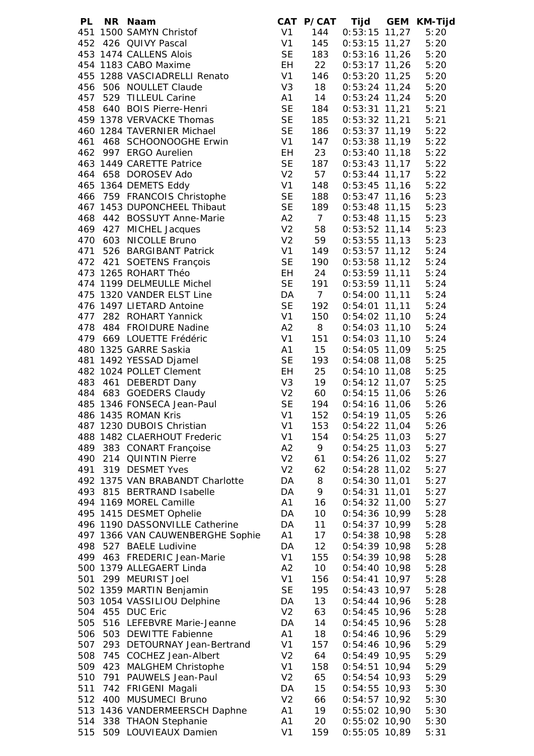| PL  | NR Naam                          |                | CAT P/CAT       |                        | Tijd GEM KM-Tijd |
|-----|----------------------------------|----------------|-----------------|------------------------|------------------|
|     | 451 1500 SAMYN Christof          | V1             | 144             | $0:53:15$ 11,27        | 5:20             |
|     | 452 426 QUIVY Pascal             | V1             | 145             | $0:53:15$ 11,27        | 5:20             |
|     | 453 1474 CALLENS Alois           | <b>SE</b>      | 183             | $0:53:16$ 11,26        | 5:20             |
|     | 454 1183 CABO Maxime             | EH             | 22              | $0:53:17$ 11,26        | 5:20             |
|     | 455 1288 VASCIADRELLI Renato     | V1             | 146             | $0:53:20$ 11,25        | 5:20             |
|     | 456 506 NOULLET Claude           | V <sub>3</sub> | 18              | $0:53:24$ 11,24        | 5:20             |
|     | 457 529 TILLEUL Carine           | A1             | 14              | $0:53:24$ 11,24        | 5:20             |
|     | 458 640 BOIS Pierre-Henri        | <b>SE</b>      | 184             | $0:53:31$ 11,21        | 5:21             |
|     |                                  |                |                 |                        |                  |
|     | 459 1378 VERVACKE Thomas         | <b>SE</b>      | 185             | $0:53:32$ 11,21        | 5:21             |
|     | 460 1284 TAVERNIER Michael       | <b>SE</b>      | 186             | $0:53:37$ 11,19        | 5:22             |
| 461 | 468 SCHOONOOGHE Erwin            | V1             | 147             | $0:53:38$ 11,19        | 5:22             |
|     | 462 997 ERGO Aurelien            | EH             | 23              | $0:53:40$ 11,18        | 5:22             |
|     | 463 1449 CARETTE Patrice         | <b>SE</b>      | 187             | $0:53:43$ 11,17        | 5:22             |
|     | 464 658 DOROSEV Ado              | V <sub>2</sub> | 57              | $0:53:44$ 11,17        | 5:22             |
|     | 465 1364 DEMETS Eddy             | V1             | 148             | $0:53:45$ 11,16        | 5:22             |
|     | 466 759 FRANCOIS Christophe      | <b>SE</b>      | 188             | $0:53:47$ 11,16        | 5:23             |
|     | 467 1453 DUPONCHEEL Thibaut      | <b>SE</b>      | 189             | $0:53:48$ 11,15 $5:23$ |                  |
|     | 468 442 BOSSUYT Anne-Marie       | A2             | $\overline{7}$  | $0:53:48$ 11,15 $5:23$ |                  |
|     | 469 427 MICHEL Jacques           | V <sub>2</sub> | 58              | $0:53:52$ 11,14        | 5:23             |
|     | 470 603 NICOLLE Bruno            | V <sub>2</sub> | 59              | $0:53:55$ 11,13 $5:23$ |                  |
|     | 471 526 BARGIBANT Patrick        | V1             | 149             | $0:53:57$ 11,12 $5:24$ |                  |
|     | 472 421 SOETENS François         | <b>SE</b>      | 190             | $0:53:58$ 11,12        | 5:24             |
|     | 473 1265 ROHART Théo             | EH             | 24              | $0:53:59$ 11,11        | 5:24             |
|     | 474 1199 DELMEULLE Michel        | <b>SE</b>      | 191             | $0:53:59$ 11,11        | 5:24             |
|     | 475 1320 VANDER ELST Line        | DA             | $7\overline{ }$ | $0:54:00$ 11,11        | 5:24             |
|     |                                  | <b>SE</b>      |                 |                        |                  |
|     | 476 1497 LIETARD Antoine         |                | 192             | $0:54:01$ 11,11        | 5:24             |
|     | 477 282 ROHART Yannick           | V <sub>1</sub> | 150             | $0:54:02$ 11,10        | 5:24             |
|     | 478 484 FROIDURE Nadine          | A2             | 8               | $0:54:03$ 11,10        | 5:24             |
|     | 479 669 LOUETTE Frédéric         | V <sub>1</sub> | 151             | $0:54:03$ 11,10        | 5:24             |
|     | 480 1325 GARRE Saskia            | A1             | 15              | $0:54:05$ 11,09        | 5:25             |
|     | 481 1492 YESSAD Djamel           | <b>SE</b>      | 193             | $0:54:08$ 11,08        | 5:25             |
|     | 482 1024 POLLET Clement          | EH             | 25              | $0:54:10$ 11,08        | 5:25             |
|     | 483 461 DEBERDT Dany             | V3             | 19              | $0:54:12$ 11,07 $5:25$ |                  |
|     | 484 683 GOEDERS Claudy           | V <sub>2</sub> | 60              | $0:54:15$ 11,06        | 5:26             |
|     | 485 1346 FONSECA Jean-Paul       | <b>SE</b>      | 194             | $0:54:16$ 11,06        | 5:26             |
|     | 486 1435 ROMAN Kris              | V <sub>1</sub> | 152             | $0:54:19$ 11,05        | 5:26             |
|     | 487 1230 DUBOIS Christian        | V <sub>1</sub> | 153             | $0:54:22$ 11,04        | 5:26             |
|     | 488 1482 CLAERHOUT Frederic      | V <sub>1</sub> | 154             | $0:54:25$ 11,03        | 5:27             |
| 489 | 383 CONART Françoise             | A2             | 9               | $0:54:25$ 11,03        | 5:27             |
| 490 | 214 QUINTIN Pierre               | V <sub>2</sub> | 61              | $0:54:26$ 11,02        | 5:27             |
| 491 | 319 DESMET Yves                  | V <sub>2</sub> | 62              | $0:54:28$ 11,02        | 5:27             |
|     | 492 1375 VAN BRABANDT Charlotte  | DA             | 8               | $0:54:30$ 11,01        | 5:27             |
| 493 | 815 BERTRAND Isabelle            | DA             | 9               | $0:54:31$ 11,01        | 5:27             |
|     | 494 1169 MOREL Camille           | A1             | 16              | $0:54:32$ 11,00        | 5:27             |
|     | 495 1415 DESMET Ophelie          | DA             | 10              | $0:54:36$ 10,99        | 5:28             |
|     | 496 1190 DASSONVILLE Catherine   | DA             | 11              | $0:54:37$ 10,99        | 5:28             |
|     | 497 1366 VAN CAUWENBERGHE Sophie | A1             | 17              | $0:54:38$ 10,98        | 5:28             |
| 498 | 527 BAELE Ludivine               | DA             | 12              | $0:54:39$ 10,98        | 5:28             |
| 499 | 463 FREDERIC Jean-Marie          | V <sub>1</sub> | 155             | $0:54:39$ 10,98        | 5:28             |
|     | 500 1379 ALLEGAERT Linda         | A2             | 10 <sup>°</sup> | $0:54:40$ 10,98        | 5:28             |
|     |                                  |                |                 |                        |                  |
| 501 | 299 MEURIST Joel                 | V <sub>1</sub> | 156             | $0:54:41$ 10,97        | 5:28             |
|     | 502 1359 MARTIN Benjamin         | <b>SE</b>      | 195             | $0:54:43$ 10,97        | 5:28             |
|     | 503 1054 VASSILIOU Delphine      | DA             | 13              | $0:54:44$ 10,96        | 5:28             |
| 504 | 455 DUC Eric                     | V <sub>2</sub> | 63              | $0:54:45$ 10,96        | 5:28             |
| 505 | 516 LEFEBVRE Marie-Jeanne        | DA             | 14              | $0:54:45$ 10,96        | 5:28             |
| 506 | 503 DEWITTE Fabienne             | A1             | 18              | $0:54:46$ 10,96        | 5:29             |
| 507 | 293 DETOURNAY Jean-Bertrand      | V <sub>1</sub> | 157             | $0:54:46$ 10,96        | 5:29             |
| 508 | 745 COCHEZ Jean-Albert           | V <sub>2</sub> | 64              | $0:54:49$ 10,95        | 5:29             |
| 509 | 423 MALGHEM Christophe           | V <sub>1</sub> | 158             | $0:54:51$ 10,94        | 5:29             |
| 510 | 791 PAUWELS Jean-Paul            | V <sub>2</sub> | 65              | $0:54:54$ 10,93        | 5:29             |
| 511 | 742 FRIGENI Magali               | DA             | 15              | $0:54:55$ 10,93        | 5:30             |
| 512 | 400 MUSUMECI Bruno               | V <sub>2</sub> | 66              | $0:54:57$ 10,92        | 5:30             |
|     | 513 1436 VANDERMEERSCH Daphne    | A <sub>1</sub> | 19              | $0:55:02$ 10,90        | 5:30             |
| 514 | 338 THAON Stephanie              | A1             | 20              | $0:55:02$ 10,90        | 5:30             |
| 515 | 509 LOUVIEAUX Damien             | V <sub>1</sub> | 159             | $0:55:05$ 10,89        | 5:31             |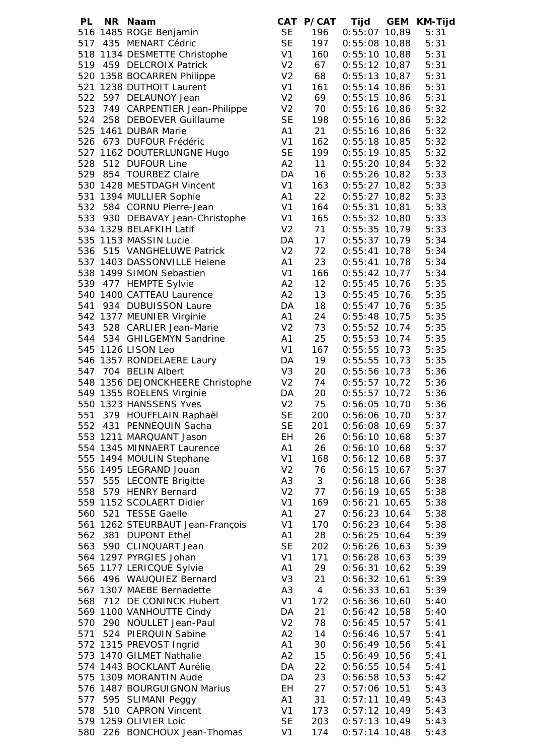| PL  | NR Naam                          |                |                 | CAT P/CAT Tijd GEM KM-Tijd |      |
|-----|----------------------------------|----------------|-----------------|----------------------------|------|
|     | 516 1485 ROGE Benjamin           | <b>SE</b>      | 196             | $0:55:07$ 10,89            | 5:31 |
|     | 517 435 MENART Cédric            | <b>SE</b>      |                 | 197  0:55:08  10,88        | 5:31 |
|     | 518 1134 DESMETTE Christophe     | V1             | 160             | $0:55:10$ 10,88            | 5:31 |
|     | 519 459 DELCROIX Patrick         | V <sub>2</sub> | 67              | $0:55:12$ 10,87            | 5:31 |
|     | 520 1358 BOCARREN Philippe       | V <sub>2</sub> | 68              | $0:55:13$ 10,87            | 5:31 |
|     | 521 1238 DUTHOIT Laurent         | V <sub>1</sub> | 161             | $0:55:14$ 10,86            | 5:31 |
| 522 | 597 DELAUNOY Jean                | V <sub>2</sub> | 69              | $0:55:15$ 10,86            | 5:31 |
|     | 523 749 CARPENTIER Jean-Philippe | V <sub>2</sub> | 70              | $0:55:16$ 10,86            | 5:32 |
|     | 524 258 DEBOEVER Guillaume       | <b>SE</b>      | 198             | $0:55:16$ 10,86            | 5:32 |
|     | 525 1461 DUBAR Marie             | A1             | 21              | $0:55:16$ 10,86            | 5:32 |
|     | 526 673 DUFOUR Frédéric          | V <sub>1</sub> | 162             | $0:55:18$ 10,85            | 5:32 |
|     | 527 1162 DOUTERLUNGNE Hugo       | <b>SE</b>      | 199             | $0:55:19$ 10,85            | 5:32 |
|     |                                  |                |                 |                            |      |
|     | 528 512 DUFOUR Line              | A2             | 11              | $0:55:20$ 10,84            | 5:32 |
|     | 529 854 TOURBEZ Claire           | DA             | 16              | $0:55:26$ 10,82            | 5:33 |
|     | 530 1428 MESTDAGH Vincent        | V <sub>1</sub> | 163             | $0:55:27$ 10,82            | 5:33 |
|     | 531 1394 MULLIER Sophie          | A1             | 22              | $0:55:27$ 10,82            | 5:33 |
|     | 532 584 CORNU Pierre-Jean        | V <sub>1</sub> | 164             | $0:55:31$ 10,81            | 5:33 |
|     | 533 930 DEBAVAY Jean-Christophe  | V <sub>1</sub> | 165             | $0:55:32$ 10,80            | 5:33 |
|     | 534 1329 BELAFKIH Latif          | V <sub>2</sub> | 71              | $0:55:35$ 10,79            | 5:33 |
|     | 535 1153 MASSIN Lucie            | DA             |                 | 17 0:55:37 10,79           | 5:34 |
|     | 536 515 VANGHELUWE Patrick       | V <sub>2</sub> | 72              | 0:55:41 10,78              | 5:34 |
|     | 537 1403 DASSONVILLE Helene      | A1             | 23              | $0:55:41$ 10,78            | 5:34 |
|     | 538 1499 SIMON Sebastien         | V <sub>1</sub> | 166             | $0:55:42$ 10,77            | 5:34 |
|     | 539 477 HEMPTE Sylvie            | A2             | 12              | $0:55:45$ 10,76            | 5:35 |
|     | 540 1400 CATTEAU Laurence        | A2             | 13              | $0:55:45$ 10,76            | 5:35 |
|     | 541 934 DUBUISSON Laure          | DA             | 18              | $0:55:47$ 10,76            | 5:35 |
|     | 542 1377 MEUNIER Virginie        | A1             | 24              | $0:55:48$ 10,75            | 5:35 |
|     | 543 528 CARLIER Jean-Marie       | V <sub>2</sub> | 73              | $0:55:52$ 10,74            | 5:35 |
|     | 544 534 GHILGEMYN Sandrine       | A <sub>1</sub> | 25              | $0:55:53$ 10,74            | 5:35 |
|     | 545 1126 LISON Leo               | V <sub>1</sub> | 167             | $0:55:55$ 10,73            | 5:35 |
|     | 546 1357 RONDELAERE Laury        | DA             | 19              | $0:55:55$ 10,73            | 5:35 |
|     | 547 704 BELIN Albert             | V <sub>3</sub> | 20              | 0:55:56 10,73              | 5:36 |
|     | 548 1356 DEJONCKHEERE Christophe | V <sub>2</sub> | 74              | $0:55:57$ 10,72            | 5:36 |
|     | 549 1355 ROELENS Virginie        | DA             | 20              | $0:55:57$ 10,72            | 5:36 |
|     | 550 1323 HANSSENS Yves           | V <sub>2</sub> | 75              | $0:56:05$ 10,70            | 5:36 |
| 551 | 379 HOUFFLAIN Raphaël            | <b>SE</b>      | 200             | $0:56:06$ 10,70            | 5:37 |
|     | 552 431 PENNEQUIN Sacha          | <b>SE</b>      | 201             | $0:56:08$ 10,69            | 5:37 |
|     | 553 1211 MARQUANT Jason          | EH             | 26              | $0:56:10$ 10,68            | 5:37 |
|     | 554 1345 MINNAERT Laurence       | A1             | 26              | $0:56:10$ 10,68            | 5:37 |
|     | 555 1494 MOULIN Stephane         | V <sub>1</sub> | 168             | $0:56:12$ 10,68            | 5:37 |
|     | 556 1495 LEGRAND Jouan           | V <sub>2</sub> | 76              | $0:56:15$ 10,67            | 5:37 |
| 557 | 555 LECONTE Brigitte             | A <sub>3</sub> | 3 <sup>7</sup>  | $0:56:18$ 10,66            | 5:38 |
| 558 | 579 HENRY Bernard                | V <sub>2</sub> | 77              | $0:56:19$ 10,65            | 5:38 |
|     | 559 1152 SCOLAERT Didier         | V <sub>1</sub> | 169             | $0:56:21$ 10,65            | 5:38 |
| 560 | 521 TESSE Gaelle                 | A <sub>1</sub> | 27              | $0:56:23$ 10,64            | 5:38 |
|     | 561 1262 STEURBAUT Jean-François | V <sub>1</sub> | 170             | $0:56:23$ 10,64            | 5:38 |
| 562 | 381 DUPONT Ethel                 | A <sub>1</sub> | 28              | $0:56:25$ 10,64            | 5:39 |
| 563 | 590 CLINQUART Jean               | <b>SE</b>      | 202             | $0:56:26$ 10,63            | 5:39 |
|     | 564 1297 PYRGIES Johan           | V <sub>1</sub> | 171             | $0:56:28$ 10,63            | 5:39 |
|     | 565 1177 LERICQUE Sylvie         | A <sub>1</sub> | 29              | $0:56:31$ 10,62            | 5:39 |
|     | 566 496 WAUQUIEZ Bernard         | V <sub>3</sub> | 21              | $0:56:32$ 10,61            | 5:39 |
|     | 567 1307 MAEBE Bernadette        | A <sub>3</sub> | $4\overline{ }$ | $0:56:33$ 10,61            | 5:39 |
|     | 568 712 DE CONINCK Hubert        | V <sub>1</sub> | 172             | $0:56:36$ 10,60            | 5:40 |
|     | 569 1100 VANHOUTTE Cindy         | DA             | 21              | $0:56:42$ 10,58            | 5:40 |
|     | 570 290 NOULLET Jean-Paul        | V <sub>2</sub> | 78              | $0:56:45$ 10,57            | 5:41 |
|     | 571 524 PIERQUIN Sabine          | A2             | 14              | $0:56:46$ 10,57            | 5:41 |
|     | 572 1315 PREVOST Ingrid          | A1             | 30              | $0:56:49$ 10,56            | 5:41 |
|     | 573 1470 GILMET Nathalie         | A2             | 15              | $0:56:49$ 10,56            | 5:41 |
|     | 574 1443 BOCKLANT Aurélie        | DA             | 22              | $0:56:55$ 10,54            | 5:41 |
|     | 575 1309 MORANTIN Aude           | DA             | 23              | $0:56:58$ 10,53            | 5:42 |
|     | 576 1487 BOURGUIGNON Marius      | EH             | 27              | $0:57:06$ 10,51            | 5:43 |
|     | 577 595 SLIMANI Peggy            | A1             | 31              | $0:57:11$ 10,49            | 5:43 |
| 578 | 510 CAPRON Vincent               | V <sub>1</sub> | 173             | $0:57:12$ 10,49            | 5:43 |
|     | 579 1259 OLIVIER Loic            | <b>SE</b>      | 203             | $0:57:13$ 10,49            | 5:43 |
|     | 580 226 BONCHOUX Jean-Thomas     | V <sub>1</sub> | 174             | $0:57:14$ 10,48            | 5:43 |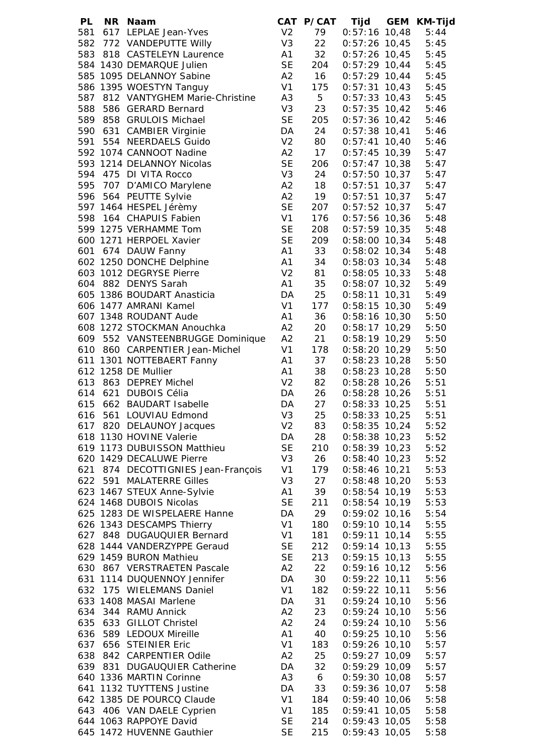| PL  | NR Naam                            |                | CAT P/CAT      |                        | Tijd GEM KM-Tijd |
|-----|------------------------------------|----------------|----------------|------------------------|------------------|
|     | 581 617 LEPLAE Jean-Yves           | V <sub>2</sub> | 79             | $0:57:16$ 10,48        | 5:44             |
|     | 582 772 VANDEPUTTE Willy           | V <sub>3</sub> | 22             | $0:57:26$ 10,45        | 5:45             |
|     | 583 818 CASTELEYN Laurence         | A1             | 32             | $0:57:26$ 10,45        | 5:45             |
|     | 584 1430 DEMARQUE Julien           | <b>SE</b>      | 204            | $0:57:29$ 10,44        | 5:45             |
|     | 585 1095 DELANNOY Sabine           | A2             | 16             | $0:57:29$ 10,44        | 5:45             |
|     | 586 1395 WOESTYN Tanguy            | V1             | 175            | $0:57:31$ 10,43        | 5:45             |
| 587 | 812 VANTYGHEM Marie-Christine      | A <sub>3</sub> | 5 <sub>5</sub> | $0:57:33$ 10,43        | 5:45             |
| 588 | 586 GERARD Bernard                 | V <sub>3</sub> | 23             | $0:57:35$ 10,42        | 5:46             |
|     | 589 858 GRULOIS Michael            | <b>SE</b>      | 205            | $0:57:36$ 10,42        | 5:46             |
|     | 590 631 CAMBIER Virginie           | DA             | 24             | $0:57:38$ 10,41        | 5:46             |
|     | 591 554 NEERDAELS Guido            | V <sub>2</sub> | 80             | $0:57:41$ 10,40        | 5:46             |
|     | 592 1074 CANNOOT Nadine            | A2             | 17             | $0:57:45$ 10,39        | 5:47             |
|     | 593 1214 DELANNOY Nicolas          | <b>SE</b>      | 206            | $0:57:47$ 10,38        | 5:47             |
| 594 | 475 DI VITA Rocco                  | V <sub>3</sub> | 24             | $0:57:50$ 10,37        | 5:47             |
|     |                                    |                |                |                        |                  |
|     | 595 707 D'AMICO Marylene           | A2             | 18             | $0:57:51$ 10,37        | 5:47             |
|     | 596 564 PEUTTE Sylvie              | A2             | 19             | $0:57:51$ 10,37        | 5:47             |
|     | 597 1464 HESPEL Jérèmy             | <b>SE</b>      | 207            | $0:57:52$ 10,37 $5:47$ |                  |
| 598 | 164 CHAPUIS Fabien                 | V <sub>1</sub> | 176            | $0:57:56$ 10,36        | 5:48             |
|     | 599 1275 VERHAMME Tom              | <b>SE</b>      | 208            | $0:57:59$ 10,35        | 5:48             |
|     | 600 1271 HERPOEL Xavier            | <b>SE</b>      | 209            | $0:58:00$ 10,34        | 5:48             |
|     | 601 674 DAUW Fanny                 | A1             | 33             | $0:58:02$ 10,34        | 5:48             |
|     | 602 1250 DONCHE Delphine           | A <sub>1</sub> | 34             | $0:58:03$ 10,34        | 5:48             |
|     | 603 1012 DEGRYSE Pierre            | V <sub>2</sub> | 81             | $0:58:05$ 10,33        | 5:48             |
|     | 604 882 DENYS Sarah                | A <sub>1</sub> | 35             | $0:58:07$ 10,32        | 5:49             |
|     | 605 1386 BOUDART Anasticia         | DA             | 25             | $0:58:11$ 10,31        | 5:49             |
|     | 606 1477 AMRANI Kamel              | V <sub>1</sub> | 177            | $0:58:15$ 10,30        | 5:49             |
|     | 607 1348 ROUDANT Aude              | A1             | 36             | $0:58:16$ 10,30        | 5:50             |
|     | 608 1272 STOCKMAN Anouchka         | A2             | 20             | $0:58:17$ 10,29        | 5:50             |
|     | 609 552 VANSTEENBRUGGE Dominique   | A2             | 21             | $0:58:19$ 10,29        | 5:50             |
|     | 610 860 CARPENTIER Jean-Michel     | V1             | 178            | $0:58:20$ 10,29        | 5:50             |
|     | 611 1301 NOTTEBAERT Fanny          | A1             | 37             | $0:58:23$ 10,28        | 5:50             |
|     | 612 1258 DE Mullier                | A1             | 38             | $0:58:23$ 10,28        | 5:50             |
|     | 613 863 DEPREY Michel              | V <sub>2</sub> | 82             | $0:58:28$ 10,26        | 5:51             |
|     | 614 621 DUBOIS Célia               | DA             | 26             | $0:58:28$ 10,26        | 5:51             |
|     | 615 662 BAUDART Isabelle           | DA             | 27             | $0:58:33$ 10,25        | 5:51             |
| 616 | 561 LOUVIAU Edmond                 | V <sub>3</sub> | 25             | $0:58:33$ 10,25        | 5:51             |
|     | 617 820 DELAUNOY Jacques           | V <sub>2</sub> | 83             | $0:58:35$ 10,24        | 5:52             |
|     | 618 1130 HOVINE Valerie            | DA             | 28             | $0:58:38$ 10,23        | 5:52             |
|     | 619 1173 DUBUISSON Matthieu        | <b>SE</b>      | 210            | $0:58:39$ 10,23        | 5:52             |
|     | 620 1429 DECALUWE Pierre           | V <sub>3</sub> | 26             | $0:58:40$ 10,23        | 5:52             |
|     | 621 874 DECOTTIGNIES Jean-François | V <sub>1</sub> | 179            | $0:58:46$ 10,21        | 5:53             |
|     | 622 591 MALATERRE Gilles           | V <sub>3</sub> | 27             | $0:58:48$ 10,20        | 5:53             |
|     | 623 1467 STEUX Anne-Sylvie         | A1             | 39             | $0:58:54$ 10,19        | 5:53             |
|     | 624 1468 DUBOIS Nicolas            | <b>SE</b>      | 211            | $0:58:54$ 10,19        | 5:53             |
|     | 625 1283 DE WISPELAERE Hanne       | DA             | 29             | $0:59:02$ 10,16        | 5:54             |
|     | 626 1343 DESCAMPS Thierry          | V <sub>1</sub> | 180            | $0:59:10$ 10,14        | 5:55             |
|     | 627 848 DUGAUQUIER Bernard         | V <sub>1</sub> | 181            | $0:59:11$ 10,14        | 5:55             |
|     | 628 1444 VANDERZYPPE Geraud        | <b>SE</b>      | 212            | $0:59:14$ 10,13        | 5:55             |
|     | 629 1459 BURON Mathieu             | <b>SE</b>      | 213            | $0:59:15$ 10,13        | 5:55             |
|     | 630 867 VERSTRAETEN Pascale        | A2             | 22             | $0:59:16$ 10,12        | 5:56             |
|     | 631 1114 DUQUENNOY Jennifer        | DA             | 30             | $0:59:22$ 10,11        | 5:56             |
|     | 632 175 WIELEMANS Daniel           | V <sub>1</sub> | 182            | $0:59:22$ 10,11        | 5:56             |
|     | 633 1408 MASAI Marlene             | DA             | 31             | $0:59:24$ 10,10        | 5:56             |
|     | 634 344 RAMU Annick                | A2             | 23             | $0:59:24$ 10,10        | 5:56             |
|     | 635 633 GILLOT Christel            | A2             | 24             | $0:59:24$ 10,10        | 5:56             |
|     | 636 589 LEDOUX Mireille            | A1             | 40             | $0:59:25$ 10,10        | 5:56             |
|     | 637 656 STEINIER Eric              | V <sub>1</sub> | 183            | $0:59:26$ 10,10        | 5:57             |
|     | 638 842 CARPENTIER Odile           | A2             | 25             | $0:59:27$ 10,09        | 5:57             |
|     | 639 831 DUGAUQUIER Catherine       | DA             | 32             | $0:59:29$ 10,09        | 5:57             |
|     | 640 1336 MARTIN Corinne            | A <sub>3</sub> | 6              | $0:59:30$ 10,08        | 5:57             |
|     | 641 1132 TUYTTENS Justine          | DA             | 33             | $0:59:36$ 10,07        | 5:58             |
|     | 642 1385 DE POURCQ Claude          | V <sub>1</sub> | 184            | $0:59:40$ 10,06        | 5:58             |
|     | 643 406 VAN DAELE Cyprien          | V <sub>1</sub> | 185            | $0:59:41$ 10,05        | 5:58             |
|     | 644 1063 RAPPOYE David             | <b>SE</b>      | 214            | $0:59:43$ 10,05        | 5:58             |
|     | 645 1472 HUVENNE Gauthier          | <b>SE</b>      | 215            | $0:59:43$ 10,05        | 5:58             |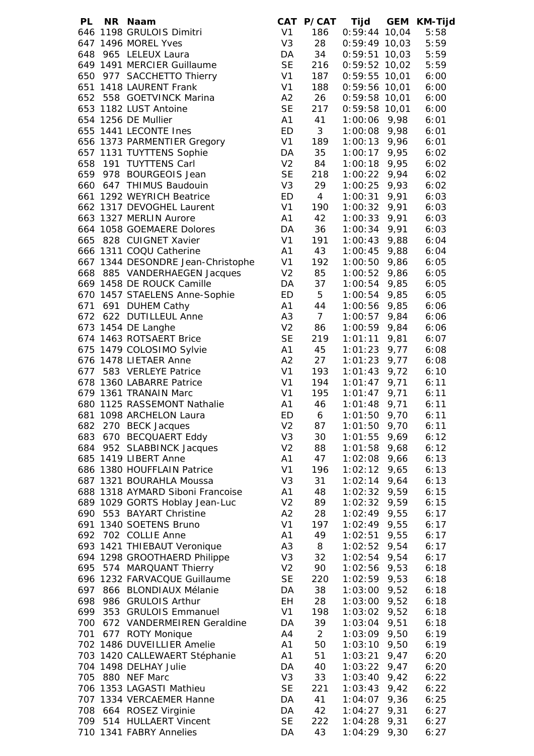| PL  | NR Naam                           |                |                | CAT P/CAT Tijd GEM KM-Tijd |      |      |
|-----|-----------------------------------|----------------|----------------|----------------------------|------|------|
|     | 646 1198 GRULOIS Dimitri          | V <sub>1</sub> | 186            | $0:59:44$ 10,04            |      | 5:58 |
|     | 647 1496 MOREL Yves               | V <sub>3</sub> | 28             | $0:59:49$ 10,03            |      | 5:59 |
|     | 648 965 LELEUX Laura              | DA             | 34             | $0:59:51$ 10,03            |      | 5:59 |
|     | 649 1491 MERCIER Guillaume        | <b>SE</b>      | 216            | $0:59:52$ 10,02            |      | 5:59 |
|     | 650 977 SACCHETTO Thierry         | V <sub>1</sub> | 187            | $0:59:55$ 10,01            |      | 6:00 |
|     | 651 1418 LAURENT Frank            | V <sub>1</sub> | 188            | $0:59:56$ 10,01            |      | 6:00 |
|     | 652 558 GOETVINCK Marina          | A2             | 26             | $0:59:58$ 10,01            |      | 6:00 |
|     | 653 1182 LUST Antoine             | <b>SE</b>      | 217            | $0:59:58$ 10,01            |      | 6:00 |
|     | 654 1256 DE Mullier               | A1             | 41             | $1:00:06$ 9,98             |      | 6:01 |
|     | 655 1441 LECONTE Ines             | <b>ED</b>      | 3 <sup>7</sup> | $1:00:08$ 9,98             |      | 6:01 |
|     | 656 1373 PARMENTIER Gregory       | V1             | 189            | $1:00:13$ 9,96             |      | 6:01 |
|     | 657 1131 TUYTTENS Sophie          | DA             | 35             | $1:00:17$ 9,95             |      | 6:02 |
|     | 658 191 TUYTTENS Carl             | V <sub>2</sub> | 84             | $1:00:18$ 9,95             |      | 6:02 |
|     | 659 978 BOURGEOIS Jean            | <b>SE</b>      | 218            | $1:00:22$ 9,94             |      | 6:02 |
|     | 660 647 THIMUS Baudouin           | V <sub>3</sub> | 29             | $1:00:25$ 9,93             |      | 6:02 |
|     | 661 1292 WEYRICH Beatrice         | ED             | $\overline{4}$ | $1:00:31$ 9,91             |      | 6:03 |
|     | 662 1317 DEVOGHEL Laurent         | V1             | 190            | $1:00:32$ 9,91             |      | 6:03 |
|     | 663 1327 MERLIN Aurore            | A1             | 42             | $1:00:33$ 9,91             |      | 6:03 |
|     | 664 1058 GOEMAERE Dolores         | DA             | 36             | $1:00:34$ 9,91             |      | 6:03 |
|     | 665 828 CUIGNET Xavier            | V <sub>1</sub> | 191            | $1:00:43$ 9,88             |      | 6:04 |
|     | 666 1311 COQU Catherine           | A1             | 43             | $1:00:45$ 9,88             |      | 6:04 |
|     | 667 1344 DESONDRE Jean-Christophe | V1             | 192            | $1:00:50$ 9,86             |      | 6:05 |
|     | 668 885 VANDERHAEGEN Jacques      | V <sub>2</sub> | 85             | $1:00:52$ 9,86             |      | 6:05 |
|     | 669 1458 DE ROUCK Camille         | DA             | 37             | $1:00:54$ 9,85             |      | 6:05 |
|     | 670 1457 STAELENS Anne-Sophie     | ED             | 5 <sub>5</sub> | $1:00:54$ 9,85             |      | 6:05 |
|     | 671 691 DUHEM Cathy               | A1             | 44             | $1:00:56$ 9,85             |      | 6:06 |
|     | 672 622 DUTILLEUL Anne            | A <sub>3</sub> | 7 <sup>7</sup> | $1:00:57$ 9,84             |      | 6:06 |
|     | 673 1454 DE Langhe                | V <sub>2</sub> | 86             | $1:00:59$ 9,84             |      | 6:06 |
|     | 674 1463 ROTSAERT Brice           | <b>SE</b>      | 219            | $1:01:11$ 9,81             |      | 6:07 |
|     | 675 1479 COLOSIMO Sylvie          | A1             | 45             | $1:01:23$ 9,77             |      | 6:08 |
|     | 676 1478 LIETAER Anne             | A2             | 27             | $1:01:23$ 9,77             |      | 6:08 |
|     | 677 583 VERLEYE Patrice           | V <sub>1</sub> | 193            | $1:01:43$ 9,72             |      | 6:10 |
|     | 678 1360 LABARRE Patrice          | V <sub>1</sub> | 194            | $1:01:47$ 9,71             |      | 6:11 |
|     | 679 1361 TRANAIN Marc             | V <sub>1</sub> | 195            | $1:01:47$ 9,71             |      | 6:11 |
|     | 680 1125 RASSEMONT Nathalie       | A1             | 46             | $1:01:48$ 9,71             |      | 6:11 |
|     | 681 1098 ARCHELON Laura           | ED             | 6              | $1:01:50$ 9,70             |      | 6:11 |
| 682 | 270 BECK Jacques                  | V <sub>2</sub> | 87             | $1:01:50$ 9,70             |      | 6:11 |
| 683 | 670 BECQUAERT Eddy                | V <sub>3</sub> | 30             | 1:01:55                    | 9,69 | 6:12 |
| 684 | 952 SLABBINCK Jacques             | V <sub>2</sub> | 88             | $1:01:58$ 9,68             |      | 6:12 |
|     | 685 1419 LIBERT Anne              | A <sub>1</sub> | 47             | 1:02:08                    | 9,66 | 6:13 |
|     | 686 1380 HOUFFLAIN Patrice        | V <sub>1</sub> | 196            | 1:02:12                    | 9,65 | 6:13 |
|     | 687 1321 BOURAHLA Moussa          | V <sub>3</sub> | 31             | $1:02:14$ 9,64             |      | 6:13 |
|     | 688 1318 AYMARD Siboni Francoise  | A <sub>1</sub> | 48             | $1:02:32$ 9,59             |      | 6:15 |
|     | 689 1029 GORTS Hoblay Jean-Luc    | V <sub>2</sub> | 89             | $1:02:32$ 9,59             |      | 6:15 |
| 690 | 553 BAYART Christine              | A2             | 28             | $1:02:49$ 9,55             |      | 6:17 |
|     | 691 1340 SOETENS Bruno            | V <sub>1</sub> | 197            | $1:02:49$ 9,55             |      | 6:17 |
| 692 | 702 COLLIE Anne                   | A <sub>1</sub> | 49             | 1:02:51                    | 9,55 | 6:17 |
|     | 693 1421 THIEBAUT Veronique       | A <sub>3</sub> | 8              | $1:02:52$ 9,54             |      | 6:17 |
|     | 694 1298 GROOTHAERD Philippe      | V <sub>3</sub> | 32             | $1:02:54$ 9,54             |      | 6:17 |
| 695 | 574 MARQUANT Thierry              | V <sub>2</sub> | 90             | $1:02:56$ 9,53             |      | 6:18 |
|     | 696 1232 FARVACQUE Guillaume      | <b>SE</b>      | 220            | $1:02:59$ 9,53             |      | 6:18 |
| 697 | 866 BLONDIAUX Mélanie             | DA             | 38             | $1:03:00$ 9,52             |      | 6:18 |
| 698 | 986 GRULOIS Arthur                | EH             | 28             | $1:03:00$ 9,52             |      | 6:18 |
| 699 | 353 GRULOIS Emmanuel              | V <sub>1</sub> | 198            | $1:03:02$ 9,52             |      | 6:18 |
| 700 | 672 VANDERMEIREN Geraldine        | DA             | 39             | $1:03:04$ 9,51             |      | 6:18 |
| 701 | 677 ROTY Monique                  | A4             | $\overline{2}$ | $1:03:09$ 9,50             |      | 6:19 |
|     | 702 1486 DUVEILLIER Amelie        | A1             | 50             | $1:03:10$ 9,50             |      | 6:19 |
|     | 703 1420 CALLEWAERT Stéphanie     | A <sub>1</sub> | 51             | $1:03:21$ 9,47             |      | 6:20 |
|     | 704 1498 DELHAY Julie             | DA             | 40             | $1:03:22$ 9,47             |      | 6:20 |
|     | 705 880 NEF Marc                  | V <sub>3</sub> | 33             | $1:03:40$ 9,42             |      | 6:22 |
|     | 706 1353 LAGASTI Mathieu          | <b>SE</b>      | 221            | $1:03:43$ 9,42             |      | 6:22 |
|     | 707 1334 VERCAEMER Hanne          | DA             | 41             | $1:04:07$ 9,36             |      | 6:25 |
|     | 708 664 ROSEZ Virginie            | DA             | 42             | $1:04:27$ 9,31             |      | 6:27 |
|     | 709 514 HULLAERT Vincent          | <b>SE</b>      | 222            | $1:04:28$ 9,31             |      | 6:27 |
|     | 710 1341 FABRY Annelies           | DA             | 43             | $1:04:29$ 9,30             |      | 6:27 |
|     |                                   |                |                |                            |      |      |